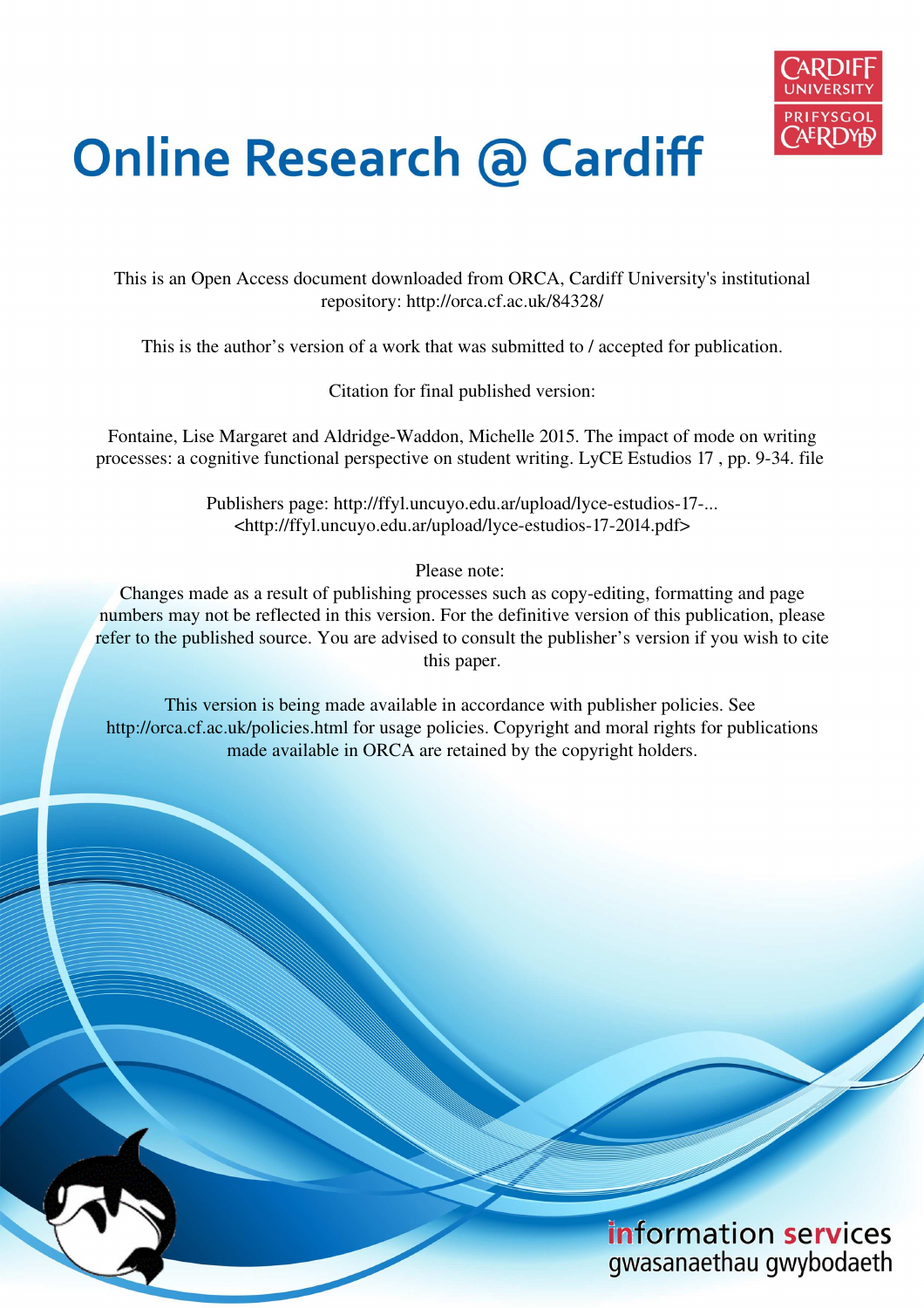

# **Online Research @ Cardiff**

This is an Open Access document downloaded from ORCA, Cardiff University's institutional repository: http://orca.cf.ac.uk/84328/

This is the author's version of a work that was submitted to / accepted for publication.

Citation for final published version:

Fontaine, Lise Margaret and Aldridge-Waddon, Michelle 2015. The impact of mode on writing processes: a cognitive functional perspective on student writing. LyCE Estudios 17 , pp. 9-34. file

> Publishers page: http://ffyl.uncuyo.edu.ar/upload/lyce-estudios-17-... <http://ffyl.uncuyo.edu.ar/upload/lyce-estudios-17-2014.pdf>

> > Please note:

Changes made as a result of publishing processes such as copy-editing, formatting and page numbers may not be reflected in this version. For the definitive version of this publication, please refer to the published source. You are advised to consult the publisher's version if you wish to cite this paper.

This version is being made available in accordance with publisher policies. See http://orca.cf.ac.uk/policies.html for usage policies. Copyright and moral rights for publications made available in ORCA are retained by the copyright holders.

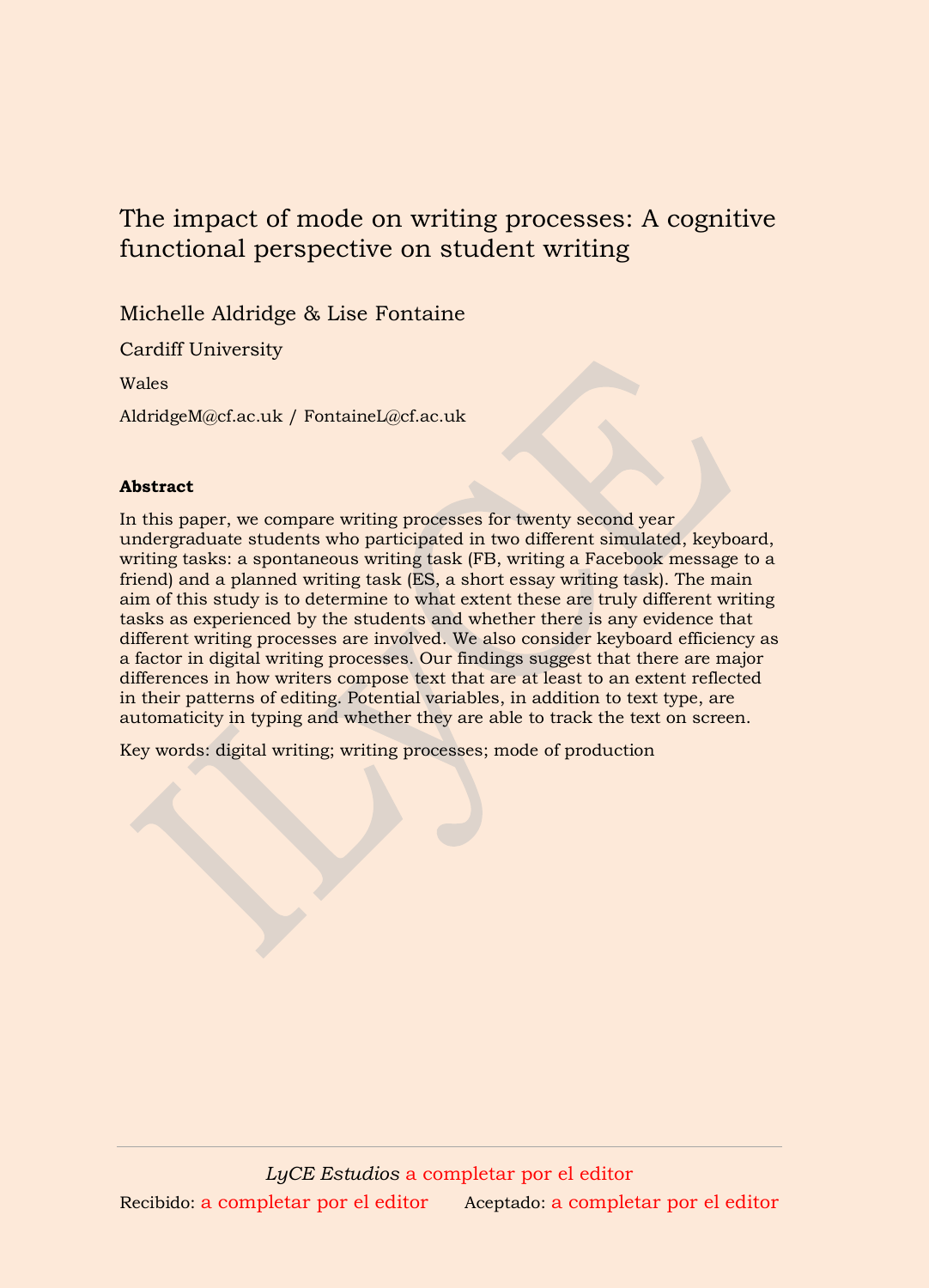# The impact of mode on writing processes: A cognitive functional perspective on student writing

Michelle Aldridge & Lise Fontaine

Cardiff University

Wales

AldridgeM@cf.ac.uk / FontaineL@cf.ac.uk

# **Abstract**

In this paper, we compare writing processes for twenty second year undergraduate students who participated in two different simulated, keyboard, writing tasks: a spontaneous writing task (FB, writing a Facebook message to a friend) and a planned writing task (ES, a short essay writing task). The main aim of this study is to determine to what extent these are truly different writing tasks as experienced by the students and whether there is any evidence that different writing processes are involved. We also consider keyboard efficiency as a factor in digital writing processes. Our findings suggest that there are major differences in how writers compose text that are at least to an extent reflected in their patterns of editing. Potential variables, in addition to text type, are automaticity in typing and whether they are able to track the text on screen.

Key words: digital writing; writing processes; mode of production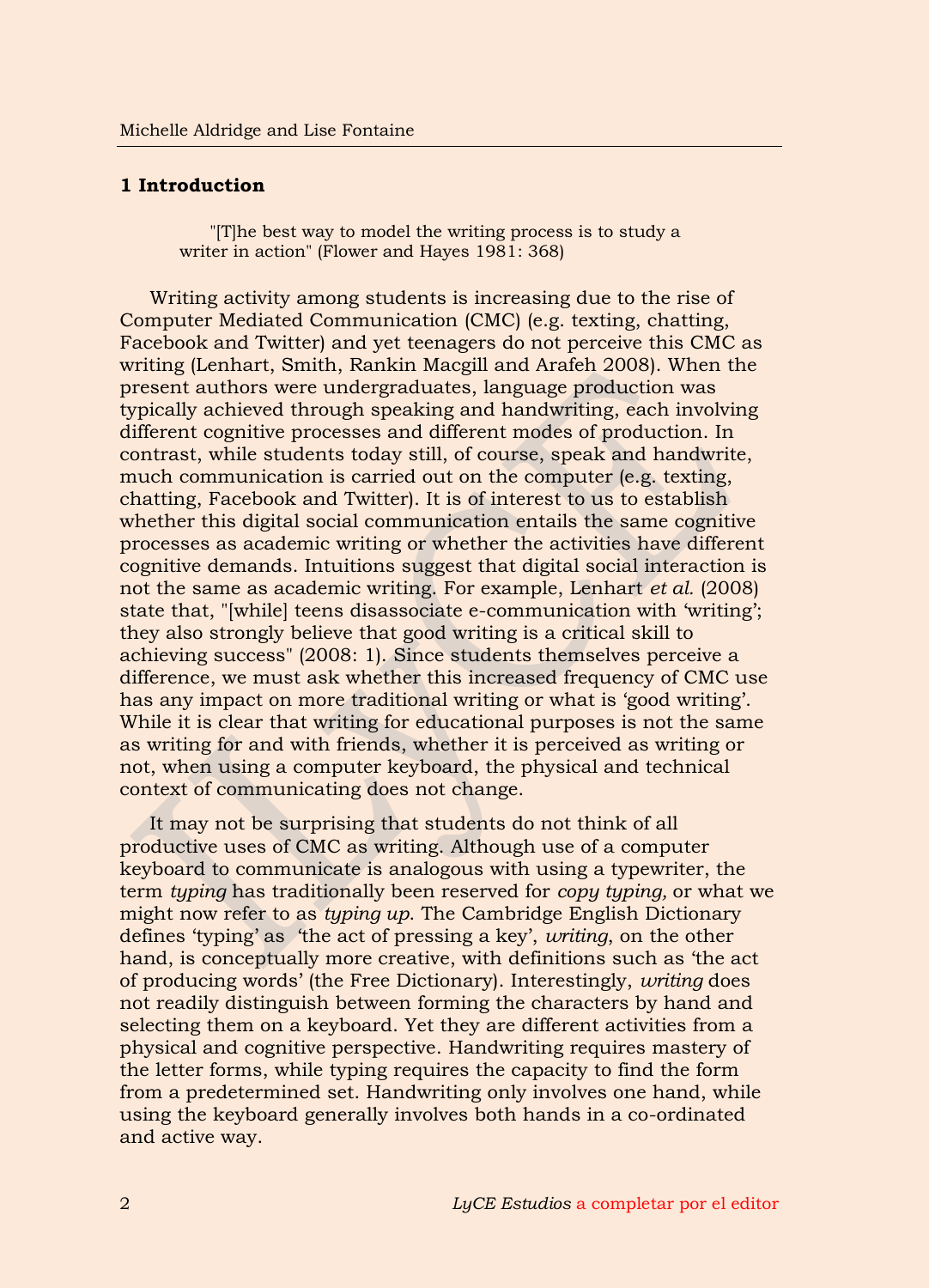#### **1 Introduction**

"[T]he best way to model the writing process is to study a writer in action" (Flower and Hayes 1981: 368)

Writing activity among students is increasing due to the rise of Computer Mediated Communication (CMC) (e.g. texting, chatting, Facebook and Twitter) and yet teenagers do not perceive this CMC as writing (Lenhart, Smith, Rankin Macgill and Arafeh 2008). When the present authors were undergraduates, language production was typically achieved through speaking and handwriting, each involving different cognitive processes and different modes of production. In contrast, while students today still, of course, speak and handwrite, much communication is carried out on the computer (e.g. texting, chatting, Facebook and Twitter). It is of interest to us to establish whether this digital social communication entails the same cognitive processes as academic writing or whether the activities have different cognitive demands. Intuitions suggest that digital social interaction is not the same as academic writing. For example, Lenhart *et al.* (2008) state that, "[while] teens disassociate e-communication with 'writing'; they also strongly believe that good writing is a critical skill to achieving success" (2008: 1). Since students themselves perceive a difference, we must ask whether this increased frequency of CMC use has any impact on more traditional writing or what is 'good writing'. While it is clear that writing for educational purposes is not the same as writing for and with friends, whether it is perceived as writing or not, when using a computer keyboard, the physical and technical context of communicating does not change.

It may not be surprising that students do not think of all productive uses of CMC as writing. Although use of a computer keyboard to communicate is analogous with using a typewriter, the term *typing* has traditionally been reserved for *copy typing,* or what we might now refer to as *typing up*. The Cambridge English Dictionary defines 'typing' as 'the act of pressing a key', *writing*, on the other hand, is conceptually more creative, with definitions such as 'the act of producing words' (the Free Dictionary). Interestingly, *writing* does not readily distinguish between forming the characters by hand and selecting them on a keyboard. Yet they are different activities from a physical and cognitive perspective. Handwriting requires mastery of the letter forms, while typing requires the capacity to find the form from a predetermined set. Handwriting only involves one hand, while using the keyboard generally involves both hands in a co-ordinated and active way.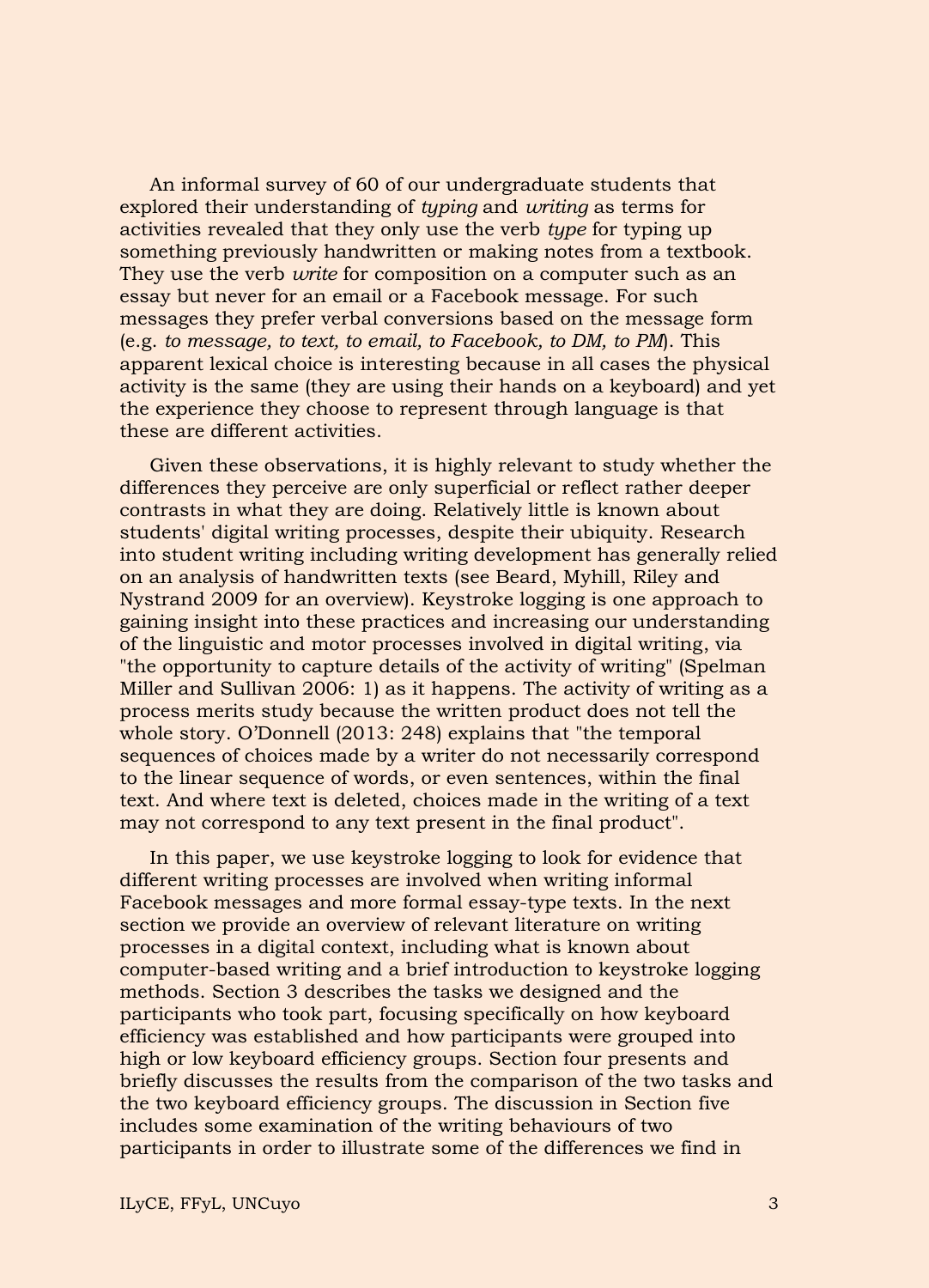An informal survey of 60 of our undergraduate students that explored their understanding of *typing* and *writing* as terms for activities revealed that they only use the verb *type* for typing up something previously handwritten or making notes from a textbook. They use the verb *write* for composition on a computer such as an essay but never for an email or a Facebook message. For such messages they prefer verbal conversions based on the message form (e.g. *to message, to text, to email, to Facebook, to DM, to PM*). This apparent lexical choice is interesting because in all cases the physical activity is the same (they are using their hands on a keyboard) and yet the experience they choose to represent through language is that these are different activities.

Given these observations, it is highly relevant to study whether the differences they perceive are only superficial or reflect rather deeper contrasts in what they are doing. Relatively little is known about students' digital writing processes, despite their ubiquity. Research into student writing including writing development has generally relied on an analysis of handwritten texts (see Beard, Myhill, Riley and Nystrand 2009 for an overview). Keystroke logging is one approach to gaining insight into these practices and increasing our understanding of the linguistic and motor processes involved in digital writing, via "the opportunity to capture details of the activity of writing" (Spelman Miller and Sullivan 2006: 1) as it happens. The activity of writing as a process merits study because the written product does not tell the whole story. O'Donnell (2013: 248) explains that "the temporal sequences of choices made by a writer do not necessarily correspond to the linear sequence of words, or even sentences, within the final text. And where text is deleted, choices made in the writing of a text may not correspond to any text present in the final product".

In this paper, we use keystroke logging to look for evidence that different writing processes are involved when writing informal Facebook messages and more formal essay-type texts. In the next section we provide an overview of relevant literature on writing processes in a digital context, including what is known about computer-based writing and a brief introduction to keystroke logging methods. Section 3 describes the tasks we designed and the participants who took part, focusing specifically on how keyboard efficiency was established and how participants were grouped into high or low keyboard efficiency groups. Section four presents and briefly discusses the results from the comparison of the two tasks and the two keyboard efficiency groups. The discussion in Section five includes some examination of the writing behaviours of two participants in order to illustrate some of the differences we find in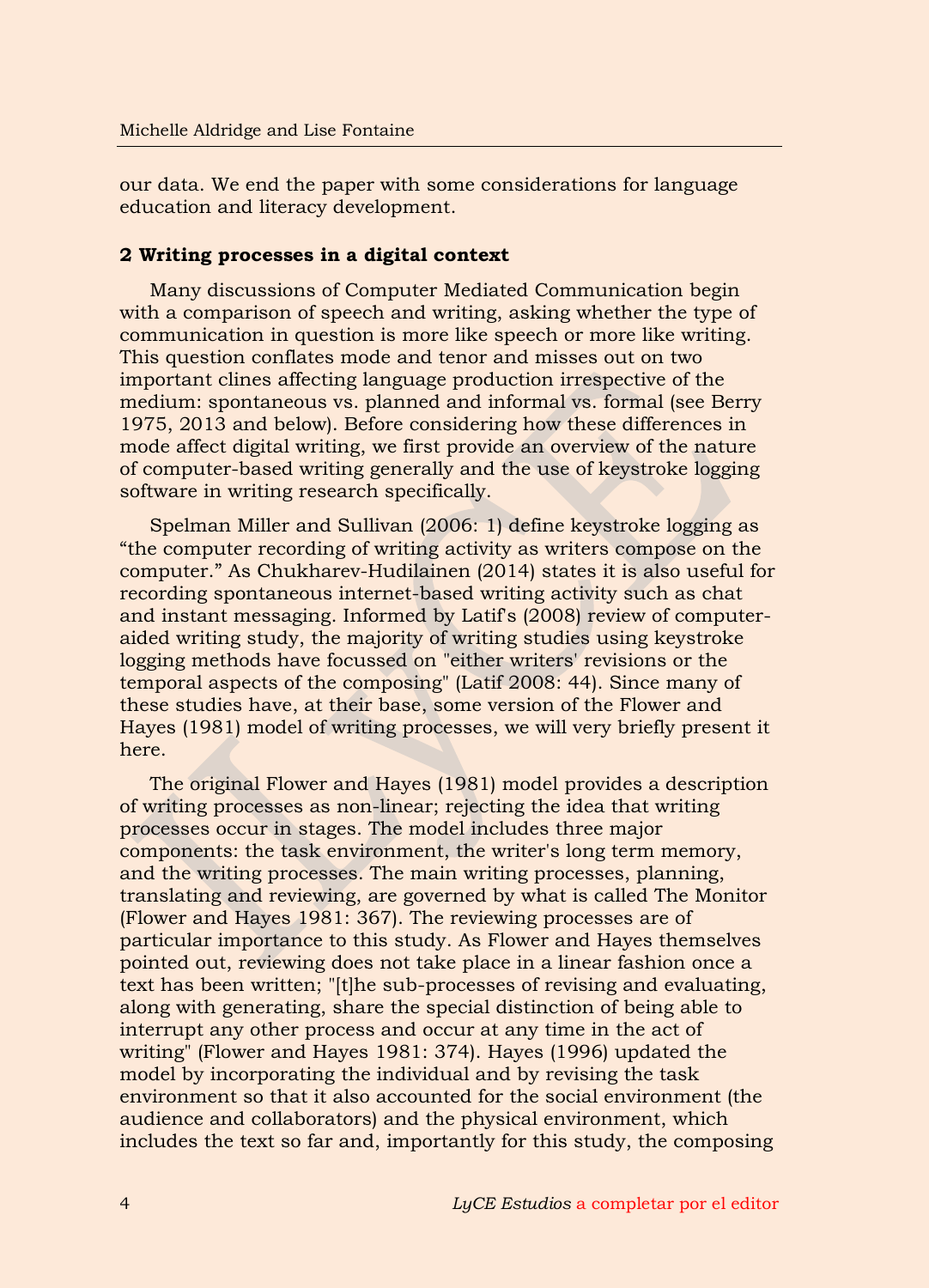our data. We end the paper with some considerations for language education and literacy development.

# **2 Writing processes in a digital context**

Many discussions of Computer Mediated Communication begin with a comparison of speech and writing, asking whether the type of communication in question is more like speech or more like writing. This question conflates mode and tenor and misses out on two important clines affecting language production irrespective of the medium: spontaneous vs. planned and informal vs. formal (see Berry 1975, 2013 and below). Before considering how these differences in mode affect digital writing, we first provide an overview of the nature of computer-based writing generally and the use of keystroke logging software in writing research specifically.

Spelman Miller and Sullivan (2006: 1) define keystroke logging as "the computer recording of writing activity as writers compose on the computer." As Chukharev-Hudilainen (2014) states it is also useful for recording spontaneous internet-based writing activity such as chat and instant messaging. Informed by Latif's (2008) review of computeraided writing study, the majority of writing studies using keystroke logging methods have focussed on "either writers' revisions or the temporal aspects of the composing" (Latif 2008: 44). Since many of these studies have, at their base, some version of the Flower and Hayes (1981) model of writing processes, we will very briefly present it here.

The original Flower and Hayes (1981) model provides a description of writing processes as non-linear; rejecting the idea that writing processes occur in stages. The model includes three major components: the task environment, the writer's long term memory, and the writing processes. The main writing processes, planning, translating and reviewing, are governed by what is called The Monitor (Flower and Hayes 1981: 367). The reviewing processes are of particular importance to this study. As Flower and Hayes themselves pointed out, reviewing does not take place in a linear fashion once a text has been written; "[t]he sub-processes of revising and evaluating, along with generating, share the special distinction of being able to interrupt any other process and occur at any time in the act of writing" (Flower and Hayes 1981: 374). Hayes (1996) updated the model by incorporating the individual and by revising the task environment so that it also accounted for the social environment (the audience and collaborators) and the physical environment, which includes the text so far and, importantly for this study, the composing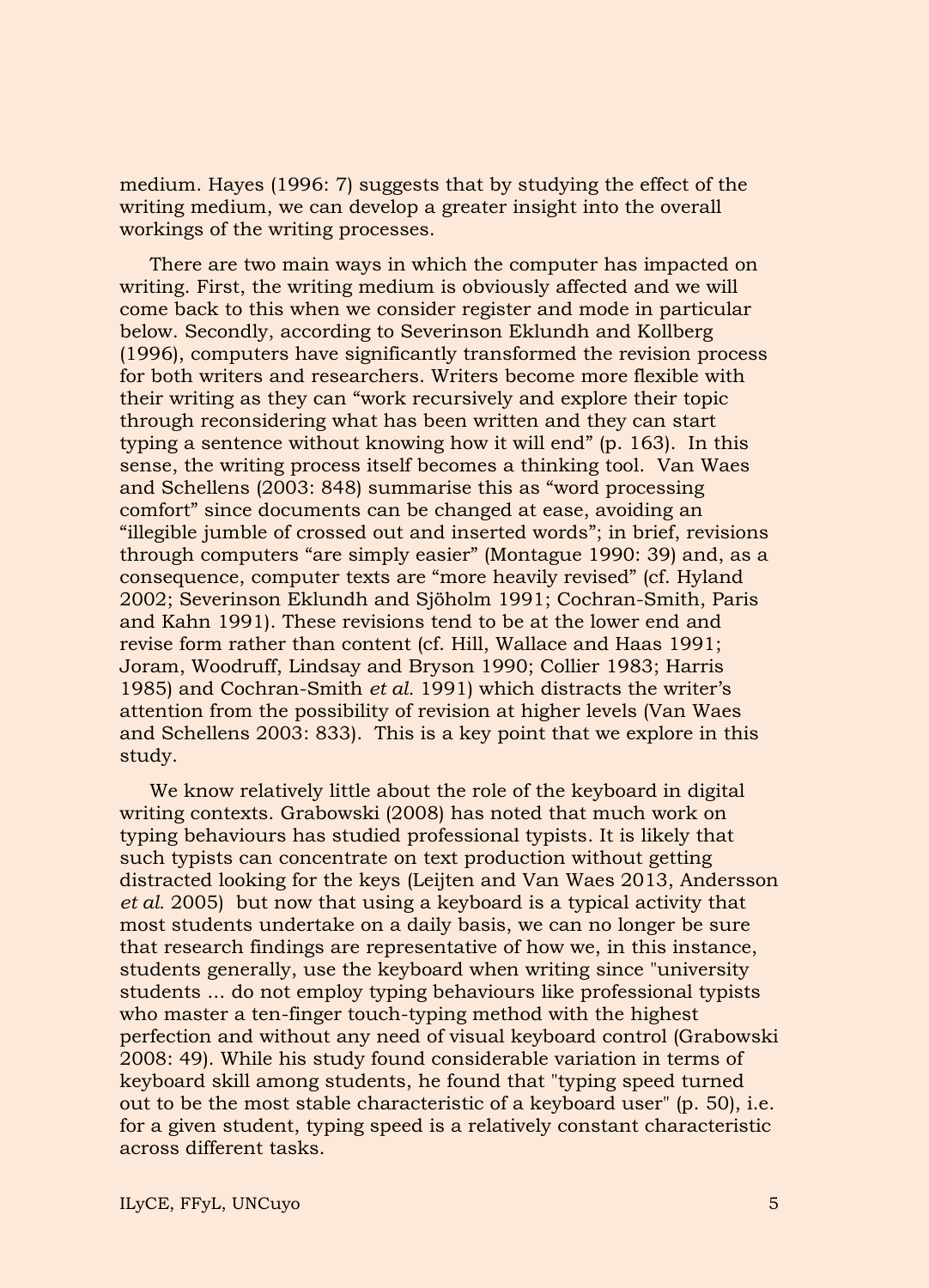medium. Hayes (1996: 7) suggests that by studying the effect of the writing medium, we can develop a greater insight into the overall workings of the writing processes.

There are two main ways in which the computer has impacted on writing. First, the writing medium is obviously affected and we will come back to this when we consider register and mode in particular below. Secondly, according to Severinson Eklundh and Kollberg (1996), computers have significantly transformed the revision process for both writers and researchers. Writers become more flexible with their writing as they can "work recursively and explore their topic through reconsidering what has been written and they can start typing a sentence without knowing how it will end" (p. 163). In this sense, the writing process itself becomes a thinking tool. Van Waes and Schellens (2003: 848) summarise this as "word processing comfort" since documents can be changed at ease, avoiding an "illegible jumble of crossed out and inserted words"; in brief, revisions through computers "are simply easier" (Montague 1990: 39) and, as a consequence, computer texts are "more heavily revised" (cf. Hyland 2002; Severinson Eklundh and Sjöholm 1991; Cochran-Smith, Paris and Kahn 1991). These revisions tend to be at the lower end and revise form rather than content (cf. Hill, Wallace and Haas 1991; Joram, Woodruff, Lindsay and Bryson 1990; Collier 1983; Harris 1985) and Cochran-Smith *et al.* 1991) which distracts the writer's attention from the possibility of revision at higher levels (Van Waes and Schellens 2003: 833). This is a key point that we explore in this study.

We know relatively little about the role of the keyboard in digital writing contexts. Grabowski (2008) has noted that much work on typing behaviours has studied professional typists. It is likely that such typists can concentrate on text production without getting distracted looking for the keys (Leijten and Van Waes 2013, Andersson *et al.* 2005) but now that using a keyboard is a typical activity that most students undertake on a daily basis, we can no longer be sure that research findings are representative of how we, in this instance, students generally, use the keyboard when writing since "university students ... do not employ typing behaviours like professional typists who master a ten-finger touch-typing method with the highest perfection and without any need of visual keyboard control (Grabowski 2008: 49). While his study found considerable variation in terms of keyboard skill among students, he found that "typing speed turned out to be the most stable characteristic of a keyboard user" (p. 50), i.e. for a given student, typing speed is a relatively constant characteristic across different tasks.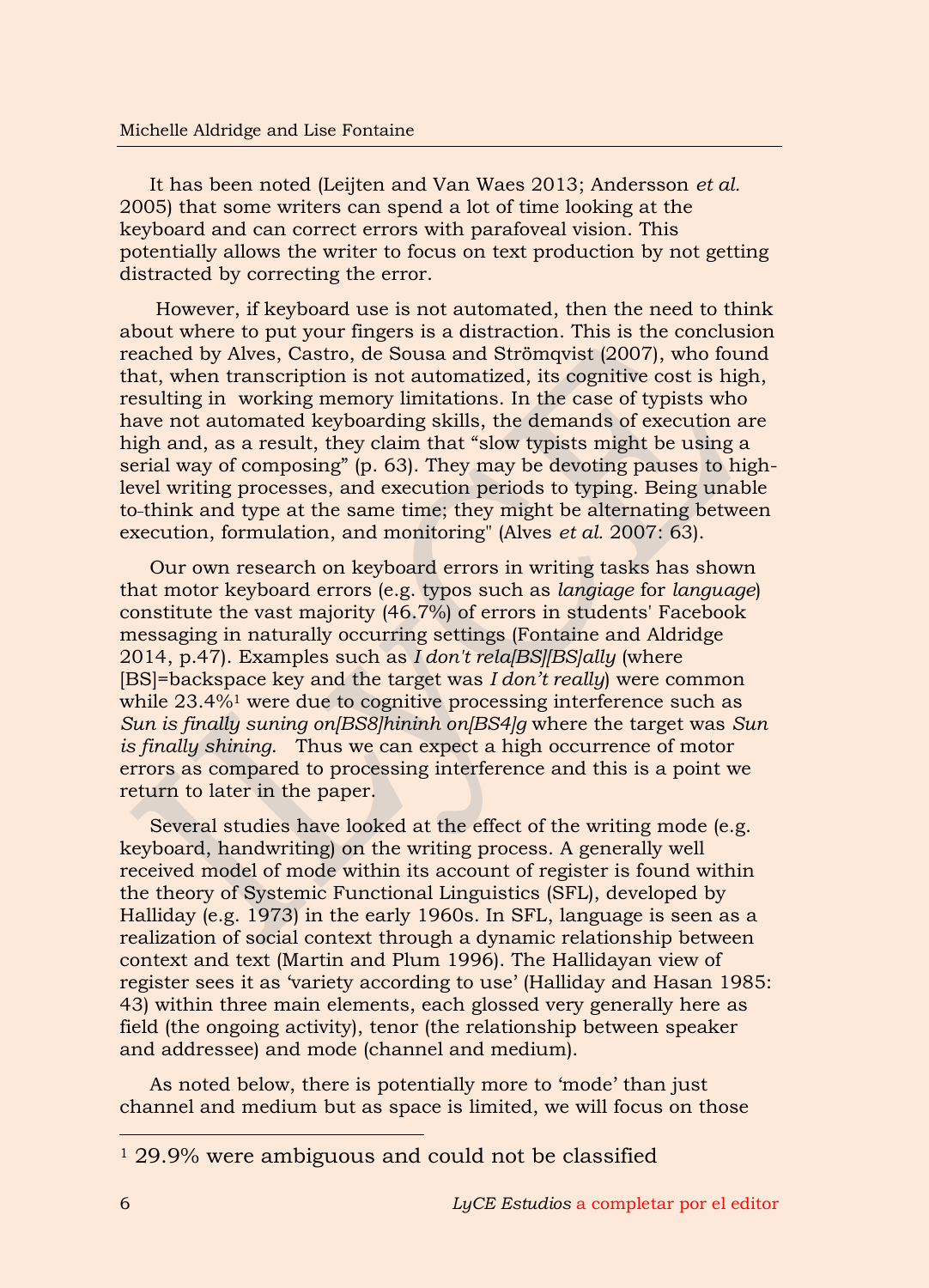It has been noted (Leijten and Van Waes 2013; Andersson *et al.* 2005) that some writers can spend a lot of time looking at the keyboard and can correct errors with parafoveal vision. This potentially allows the writer to focus on text production by not getting distracted by correcting the error.

 However, if keyboard use is not automated, then the need to think about where to put your fingers is a distraction. This is the conclusion reached by Alves, Castro, de Sousa and Strömqvist (2007), who found that, when transcription is not automatized, its cognitive cost is high, resulting in working memory limitations. In the case of typists who have not automated keyboarding skills, the demands of execution are high and, as a result, they claim that "slow typists might be using a serial way of composing" (p. 63). They may be devoting pauses to highlevel writing processes, and execution periods to typing. Being unable to think and type at the same time; they might be alternating between execution, formulation, and monitoring" (Alves *et al.* 2007: 63).

Our own research on keyboard errors in writing tasks has shown that motor keyboard errors (e.g. typos such as *langiage* for *language*) constitute the vast majority (46.7%) of errors in students' Facebook messaging in naturally occurring settings (Fontaine and Aldridge 2014, p.47). Examples such as *I don't rela[BS][BS]ally* (where [BS]=backspace key and the target was *I don't really*) were common while 23.4%<sup>1</sup> were due to cognitive processing interference such as *Sun is finally suning on[BS8]hininh on[BS4]g* where the target was *Sun is finally shining*. Thus we can expect a high occurrence of motor errors as compared to processing interference and this is a point we return to later in the paper.

Several studies have looked at the effect of the writing mode (e.g. keyboard, handwriting) on the writing process. A generally well received model of mode within its account of register is found within the theory of Systemic Functional Linguistics (SFL), developed by Halliday (e.g. 1973) in the early 1960s. In SFL, language is seen as a realization of social context through a dynamic relationship between context and text (Martin and Plum 1996). The Hallidayan view of register sees it as 'variety according to use' (Halliday and Hasan 1985: 43) within three main elements, each glossed very generally here as field (the ongoing activity), tenor (the relationship between speaker and addressee) and mode (channel and medium).

As noted below, there is potentially more to 'mode' than just channel and medium but as space is limited, we will focus on those

-

<sup>&</sup>lt;sup>1</sup> 29.9% were ambiguous and could not be classified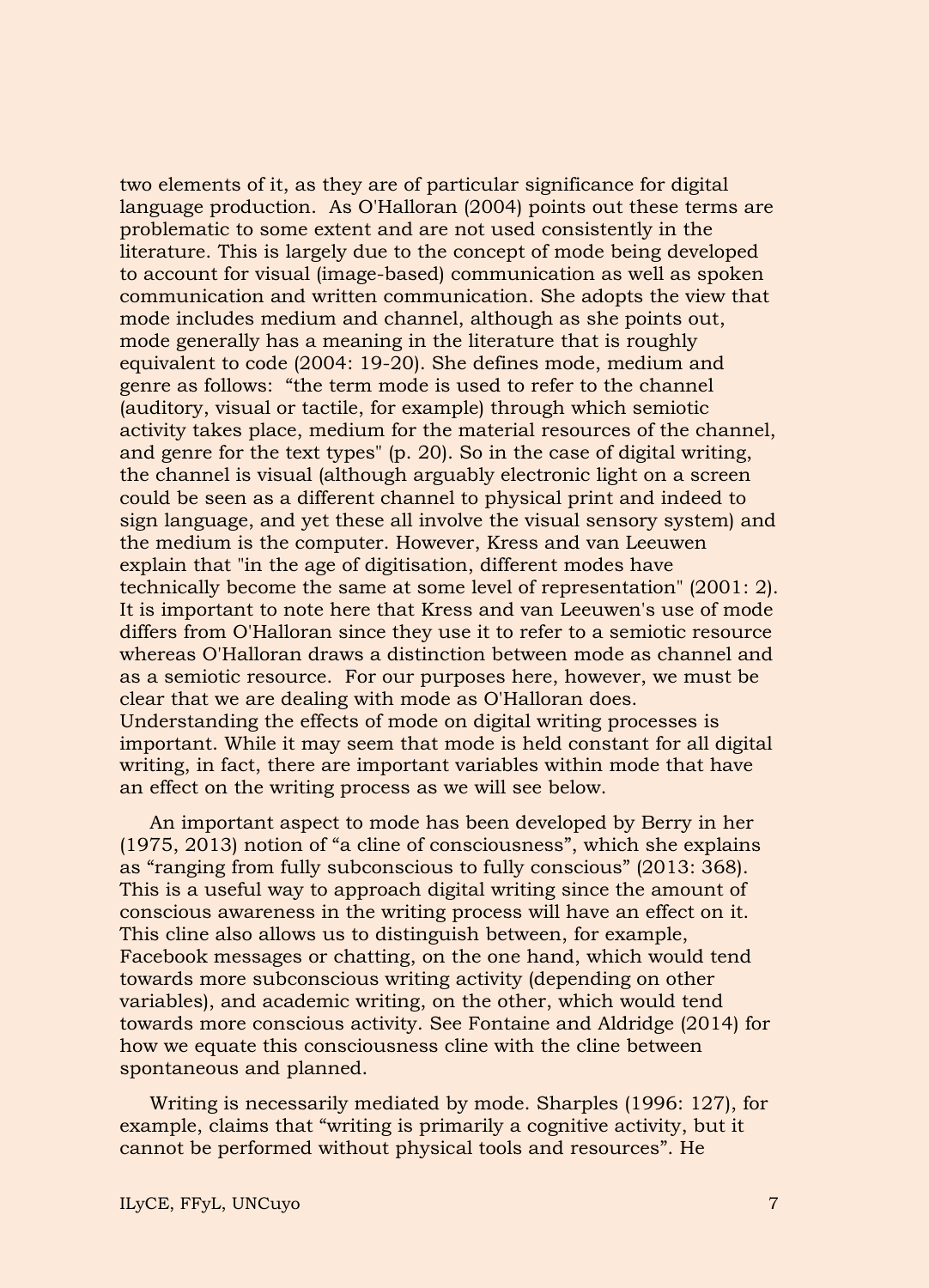two elements of it, as they are of particular significance for digital language production. As O'Halloran (2004) points out these terms are problematic to some extent and are not used consistently in the literature. This is largely due to the concept of mode being developed to account for visual (image-based) communication as well as spoken communication and written communication. She adopts the view that mode includes medium and channel, although as she points out, mode generally has a meaning in the literature that is roughly equivalent to code (2004: 19-20). She defines mode, medium and genre as follows: "the term mode is used to refer to the channel (auditory, visual or tactile, for example) through which semiotic activity takes place, medium for the material resources of the channel, and genre for the text types" (p. 20). So in the case of digital writing, the channel is visual (although arguably electronic light on a screen could be seen as a different channel to physical print and indeed to sign language, and yet these all involve the visual sensory system) and the medium is the computer. However, Kress and van Leeuwen explain that "in the age of digitisation, different modes have technically become the same at some level of representation" (2001: 2). It is important to note here that Kress and van Leeuwen's use of mode differs from O'Halloran since they use it to refer to a semiotic resource whereas O'Halloran draws a distinction between mode as channel and as a semiotic resource. For our purposes here, however, we must be clear that we are dealing with mode as O'Halloran does. Understanding the effects of mode on digital writing processes is important. While it may seem that mode is held constant for all digital writing, in fact, there are important variables within mode that have an effect on the writing process as we will see below.

An important aspect to mode has been developed by Berry in her (1975, 2013) notion of "a cline of consciousness", which she explains as "ranging from fully subconscious to fully conscious" (2013: 368). This is a useful way to approach digital writing since the amount of conscious awareness in the writing process will have an effect on it. This cline also allows us to distinguish between, for example, Facebook messages or chatting, on the one hand, which would tend towards more subconscious writing activity (depending on other variables), and academic writing, on the other, which would tend towards more conscious activity. See Fontaine and Aldridge (2014) for how we equate this consciousness cline with the cline between spontaneous and planned.

Writing is necessarily mediated by mode. Sharples (1996: 127), for example, claims that "writing is primarily a cognitive activity, but it cannot be performed without physical tools and resources". He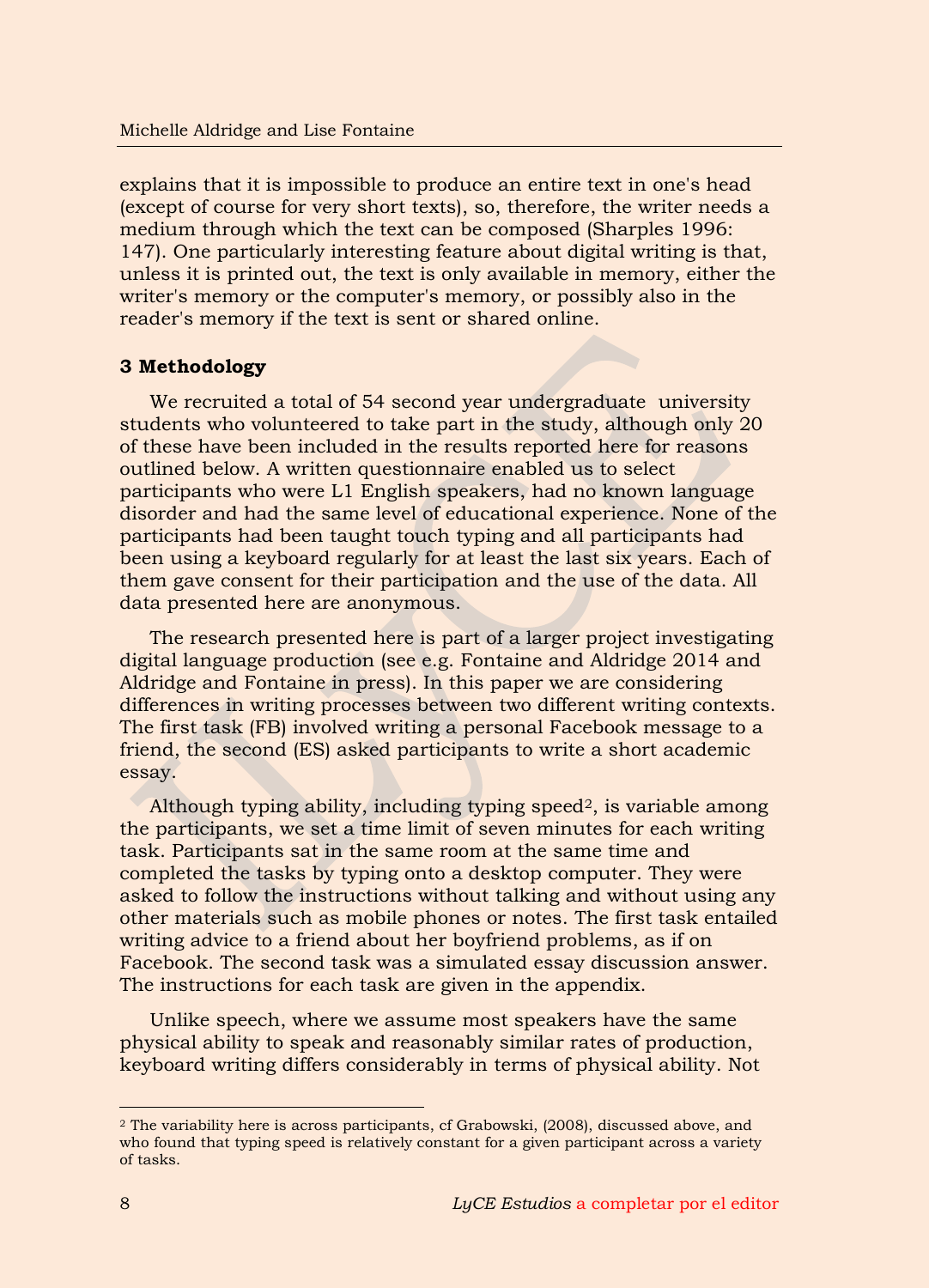explains that it is impossible to produce an entire text in one's head (except of course for very short texts), so, therefore, the writer needs a medium through which the text can be composed (Sharples 1996: 147). One particularly interesting feature about digital writing is that, unless it is printed out, the text is only available in memory, either the writer's memory or the computer's memory, or possibly also in the reader's memory if the text is sent or shared online.

# **3 Methodology**

We recruited a total of 54 second year undergraduate university students who volunteered to take part in the study, although only 20 of these have been included in the results reported here for reasons outlined below. A written questionnaire enabled us to select participants who were L1 English speakers, had no known language disorder and had the same level of educational experience. None of the participants had been taught touch typing and all participants had been using a keyboard regularly for at least the last six years. Each of them gave consent for their participation and the use of the data. All data presented here are anonymous.

The research presented here is part of a larger project investigating digital language production (see e.g. Fontaine and Aldridge 2014 and Aldridge and Fontaine in press). In this paper we are considering differences in writing processes between two different writing contexts. The first task (FB) involved writing a personal Facebook message to a friend, the second (ES) asked participants to write a short academic essay.

Although typing ability, including typing speed<sup>2</sup>, is variable among the participants, we set a time limit of seven minutes for each writing task. Participants sat in the same room at the same time and completed the tasks by typing onto a desktop computer. They were asked to follow the instructions without talking and without using any other materials such as mobile phones or notes. The first task entailed writing advice to a friend about her boyfriend problems, as if on Facebook. The second task was a simulated essay discussion answer. The instructions for each task are given in the appendix.

Unlike speech, where we assume most speakers have the same physical ability to speak and reasonably similar rates of production, keyboard writing differs considerably in terms of physical ability. Not

-

<sup>2</sup> The variability here is across participants, cf Grabowski, (2008), discussed above, and who found that typing speed is relatively constant for a given participant across a variety of tasks.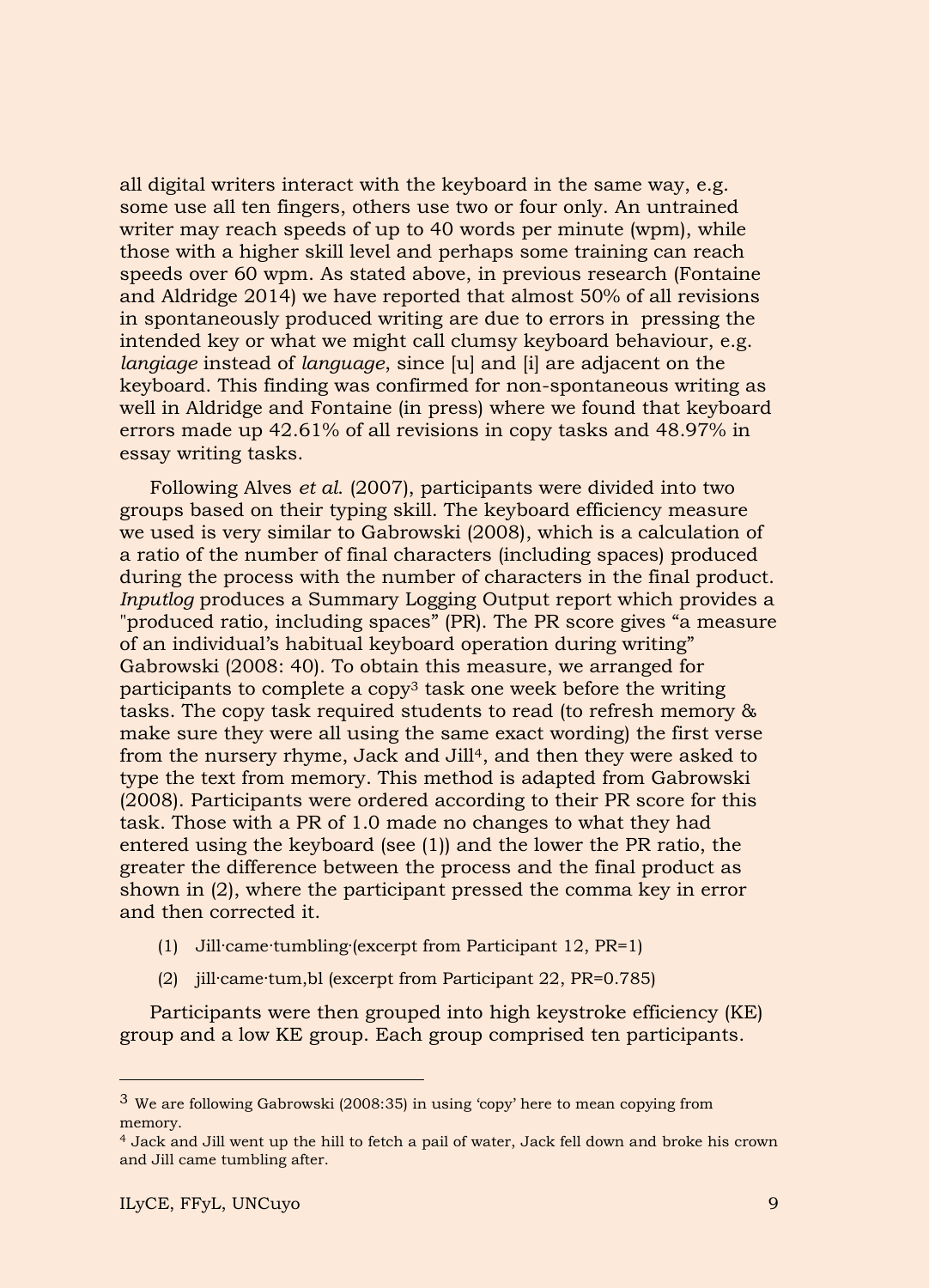all digital writers interact with the keyboard in the same way, e.g. some use all ten fingers, others use two or four only. An untrained writer may reach speeds of up to 40 words per minute (wpm), while those with a higher skill level and perhaps some training can reach speeds over 60 wpm. As stated above, in previous research (Fontaine and Aldridge 2014) we have reported that almost 50% of all revisions in spontaneously produced writing are due to errors in pressing the intended key or what we might call clumsy keyboard behaviour, e.g. *langiage* instead of *language*, since [u] and [i] are adjacent on the keyboard. This finding was confirmed for non-spontaneous writing as well in Aldridge and Fontaine (in press) where we found that keyboard errors made up 42.61% of all revisions in copy tasks and 48.97% in essay writing tasks.

Following Alves *et al*. (2007), participants were divided into two groups based on their typing skill. The keyboard efficiency measure we used is very similar to Gabrowski (2008), which is a calculation of a ratio of the number of final characters (including spaces) produced during the process with the number of characters in the final product. *Inputlog* produces a Summary Logging Output report which provides a "produced ratio, including spaces" (PR). The PR score gives "a measure of an individual's habitual keyboard operation during writing" Gabrowski (2008: 40). To obtain this measure, we arranged for participants to complete a copy3 task one week before the writing tasks. The copy task required students to read (to refresh memory & make sure they were all using the same exact wording) the first verse from the nursery rhyme, Jack and Jill<sup>4</sup>, and then they were asked to type the text from memory. This method is adapted from Gabrowski (2008). Participants were ordered according to their PR score for this task. Those with a PR of 1.0 made no changes to what they had entered using the keyboard (see (1)) and the lower the PR ratio, the greater the difference between the process and the final product as shown in [\(2\),](#page-9-0) where the participant pressed the comma key in error and then corrected it.

- (1) Jill·came·tumbling·(excerpt from Participant 12, PR=1)
- (2) jill·came·tum,bl (excerpt from Participant 22, PR=0.785)

<span id="page-9-0"></span>Participants were then grouped into high keystroke efficiency (KE) group and a low KE group. Each group comprised ten participants.

-

<sup>3</sup> We are following Gabrowski (2008:35) in using 'copy' here to mean copying from memory.

<sup>4</sup> Jack and Jill went up the hill to fetch a pail of water, Jack fell down and broke his crown and Jill came tumbling after.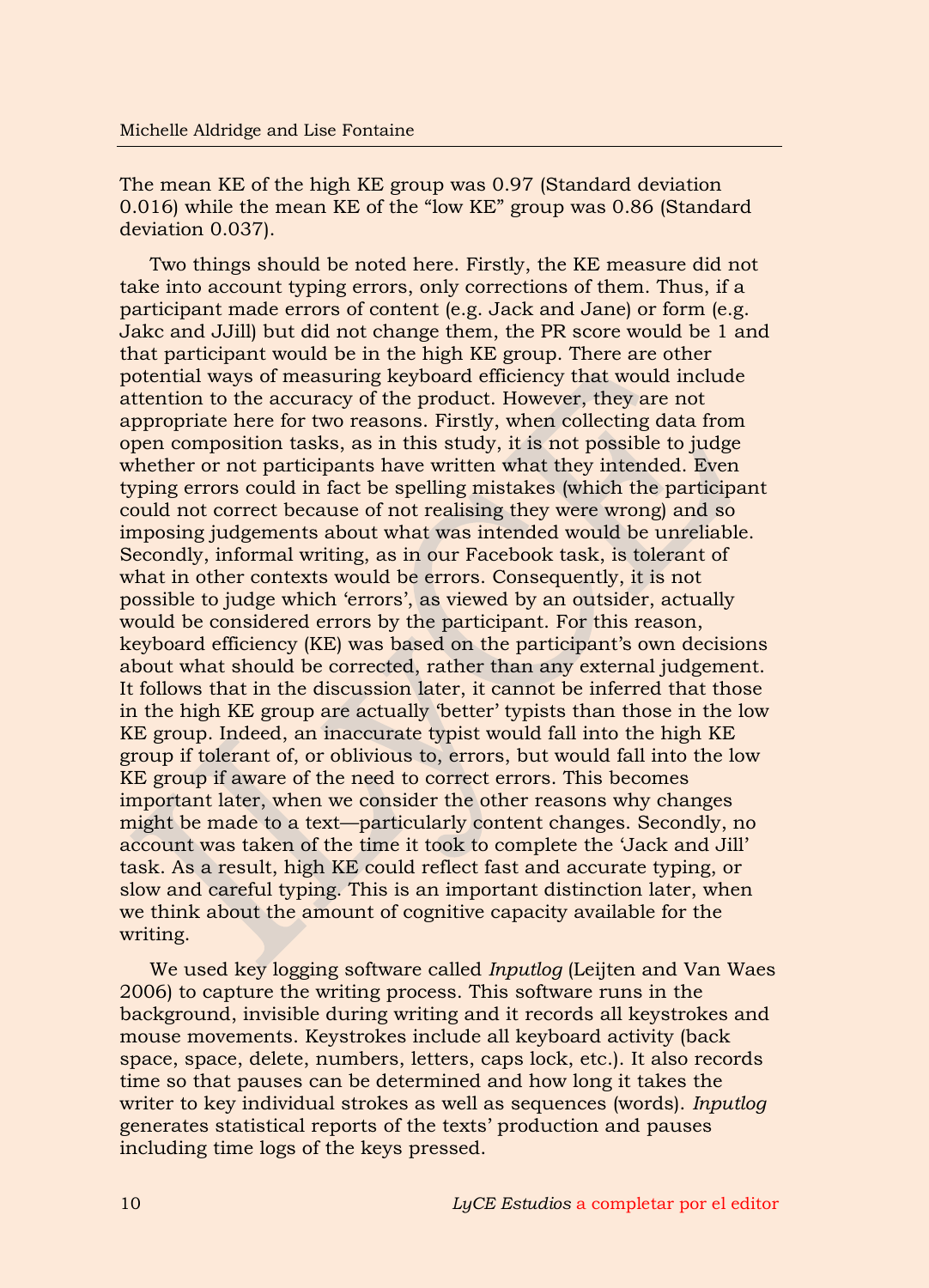The mean KE of the high KE group was 0.97 (Standard deviation 0.016) while the mean KE of the "low KE" group was 0.86 (Standard deviation 0.037).

Two things should be noted here. Firstly, the KE measure did not take into account typing errors, only corrections of them. Thus, if a participant made errors of content (e.g. Jack and Jane) or form (e.g. Jakc and JJill) but did not change them, the PR score would be 1 and that participant would be in the high KE group. There are other potential ways of measuring keyboard efficiency that would include attention to the accuracy of the product. However, they are not appropriate here for two reasons. Firstly, when collecting data from open composition tasks, as in this study, it is not possible to judge whether or not participants have written what they intended. Even typing errors could in fact be spelling mistakes (which the participant could not correct because of not realising they were wrong) and so imposing judgements about what was intended would be unreliable. Secondly, informal writing, as in our Facebook task, is tolerant of what in other contexts would be errors. Consequently, it is not possible to judge which 'errors', as viewed by an outsider, actually would be considered errors by the participant. For this reason, keyboard efficiency (KE) was based on the participant's own decisions about what should be corrected, rather than any external judgement. It follows that in the discussion later, it cannot be inferred that those in the high KE group are actually 'better' typists than those in the low KE group. Indeed, an inaccurate typist would fall into the high KE group if tolerant of, or oblivious to, errors, but would fall into the low KE group if aware of the need to correct errors. This becomes important later, when we consider the other reasons why changes might be made to a text—particularly content changes. Secondly, no account was taken of the time it took to complete the 'Jack and Jill' task. As a result, high KE could reflect fast and accurate typing, or slow and careful typing. This is an important distinction later, when we think about the amount of cognitive capacity available for the writing.

We used key logging software called *Inputlog* (Leijten and Van Waes 2006) to capture the writing process. This software runs in the background, invisible during writing and it records all keystrokes and mouse movements. Keystrokes include all keyboard activity (back space, space, delete, numbers, letters, caps lock, etc.). It also records time so that pauses can be determined and how long it takes the writer to key individual strokes as well as sequences (words). *Inputlog* generates statistical reports of the texts' production and pauses including time logs of the keys pressed.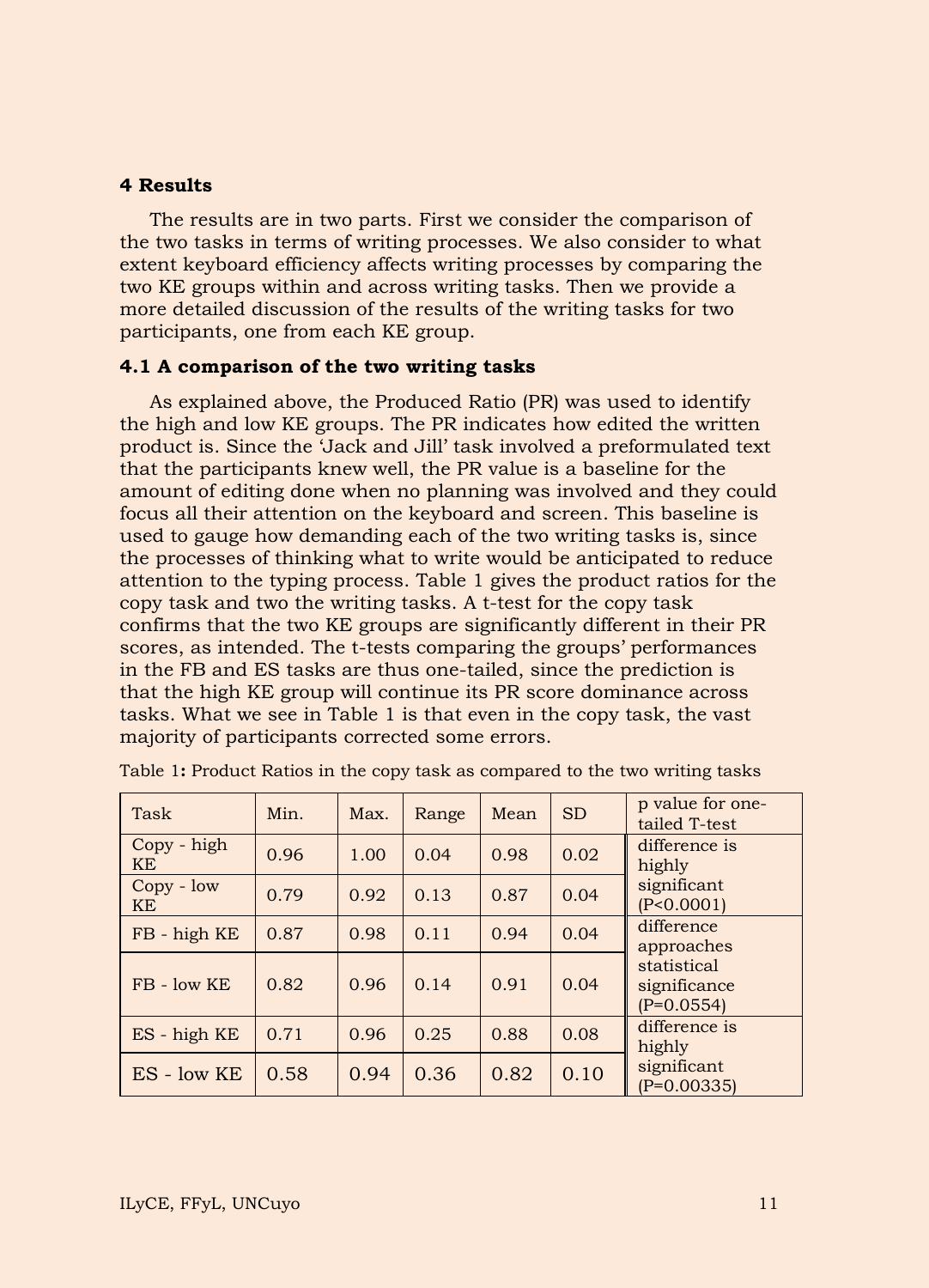### **4 Results**

The results are in two parts. First we consider the comparison of the two tasks in terms of writing processes. We also consider to what extent keyboard efficiency affects writing processes by comparing the two KE groups within and across writing tasks. Then we provide a more detailed discussion of the results of the writing tasks for two participants, one from each KE group.

### **4.1 A comparison of the two writing tasks**

As explained above, the Produced Ratio (PR) was used to identify the high and low KE groups. The PR indicates how edited the written product is. Since the 'Jack and Jill' task involved a preformulated text that the participants knew well, the PR value is a baseline for the amount of editing done when no planning was involved and they could focus all their attention on the keyboard and screen. This baseline is used to gauge how demanding each of the two writing tasks is, since the processes of thinking what to write would be anticipated to reduce attention to the typing process. Table 1 gives the product ratios for the copy task and two the writing tasks. A t-test for the copy task confirms that the two KE groups are significantly different in their PR scores, as intended. The t-tests comparing the groups' performances in the FB and ES tasks are thus one-tailed, since the prediction is that the high KE group will continue its PR score dominance across tasks. What we see in Table 1 is that even in the copy task, the vast majority of participants corrected some errors.

| Task                      | Min. | Max. | Range | Mean | <b>SD</b> | p value for one-<br>tailed T-test           |
|---------------------------|------|------|-------|------|-----------|---------------------------------------------|
| Copy - high<br>KE         | 0.96 | 1.00 | 0.04  | 0.98 | 0.02      | difference is<br>highly                     |
| $Copy - low$<br><b>KE</b> | 0.79 | 0.92 | 0.13  | 0.87 | 0.04      | significant<br>(P<0.0001)                   |
| FB - high KE              | 0.87 | 0.98 | 0.11  | 0.94 | 0.04      | difference<br>approaches                    |
| $FB - low KE$             | 0.82 | 0.96 | 0.14  | 0.91 | 0.04      | statistical<br>significance<br>$(P=0.0554)$ |
| $ES - high KE$            | 0.71 | 0.96 | 0.25  | 0.88 | 0.08      | difference is<br>highly                     |
| $ES - low KE$             | 0.58 | 0.94 | 0.36  | 0.82 | 0.10      | significant<br>$(P=0.00335)$                |

| Table 1: Product Ratios in the copy task as compared to the two writing tasks |  |  |  |  |  |  |  |  |  |  |  |  |  |  |  |  |
|-------------------------------------------------------------------------------|--|--|--|--|--|--|--|--|--|--|--|--|--|--|--|--|
|-------------------------------------------------------------------------------|--|--|--|--|--|--|--|--|--|--|--|--|--|--|--|--|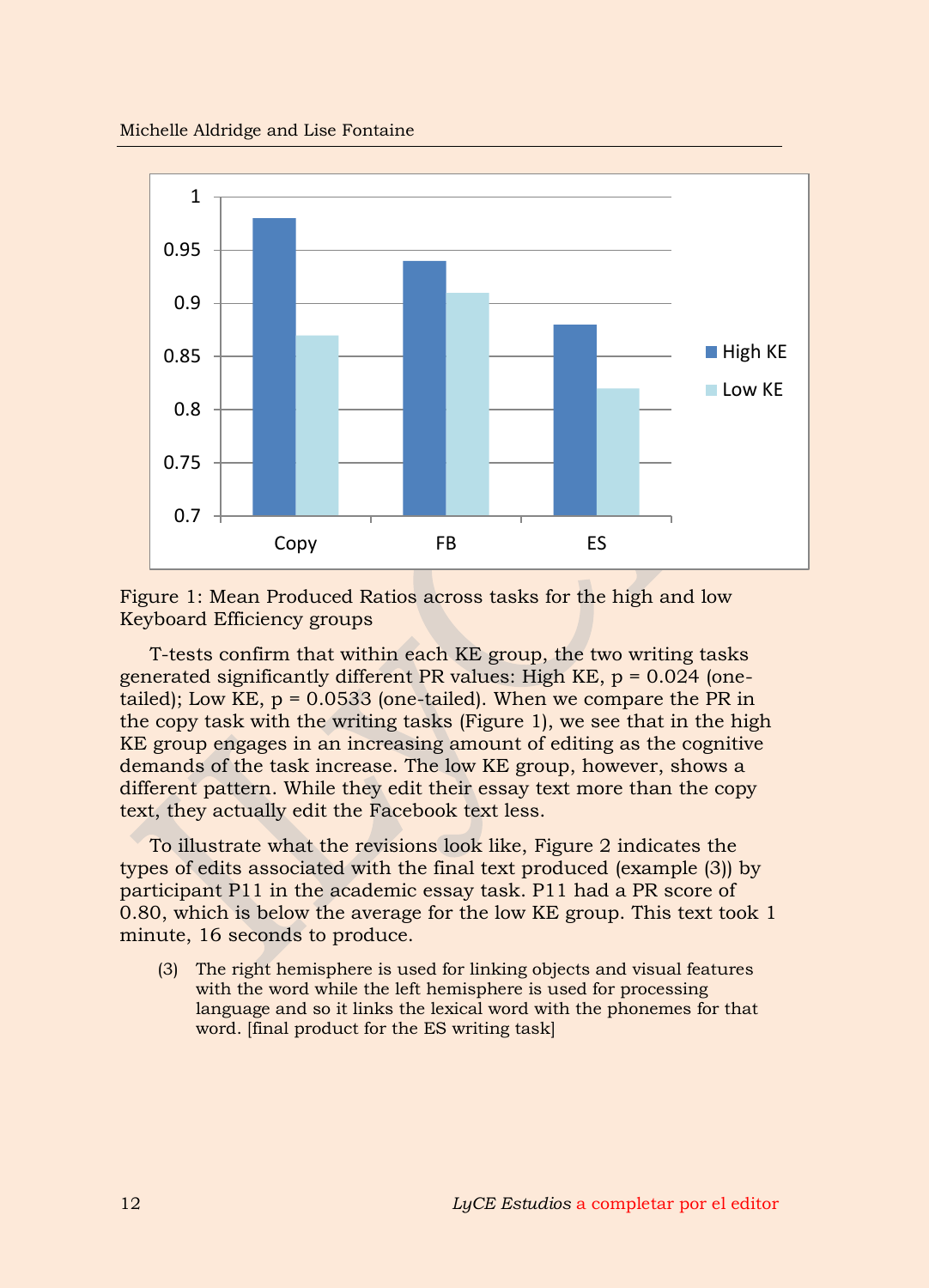

Figure 1: Mean Produced Ratios across tasks for the high and low Keyboard Efficiency groups

T-tests confirm that within each KE group, the two writing tasks generated significantly different PR values: High KE,  $p = 0.024$  (onetailed); Low KE,  $p = 0.0533$  (one-tailed). When we compare the PR in the copy task with the writing tasks (Figure 1), we see that in the high KE group engages in an increasing amount of editing as the cognitive demands of the task increase. The low KE group, however, shows a different pattern. While they edit their essay text more than the copy text, they actually edit the Facebook text less.

To illustrate what the revisions look like, Figure 2 indicates the types of edits associated with the final text produced (example [\(3\)\)](#page-12-0) by participant P11 in the academic essay task. P11 had a PR score of 0.80, which is below the average for the low KE group. This text took 1 minute, 16 seconds to produce.

<span id="page-12-0"></span>(3) The right hemisphere is used for linking objects and visual features with the word while the left hemisphere is used for processing language and so it links the lexical word with the phonemes for that word. [final product for the ES writing task]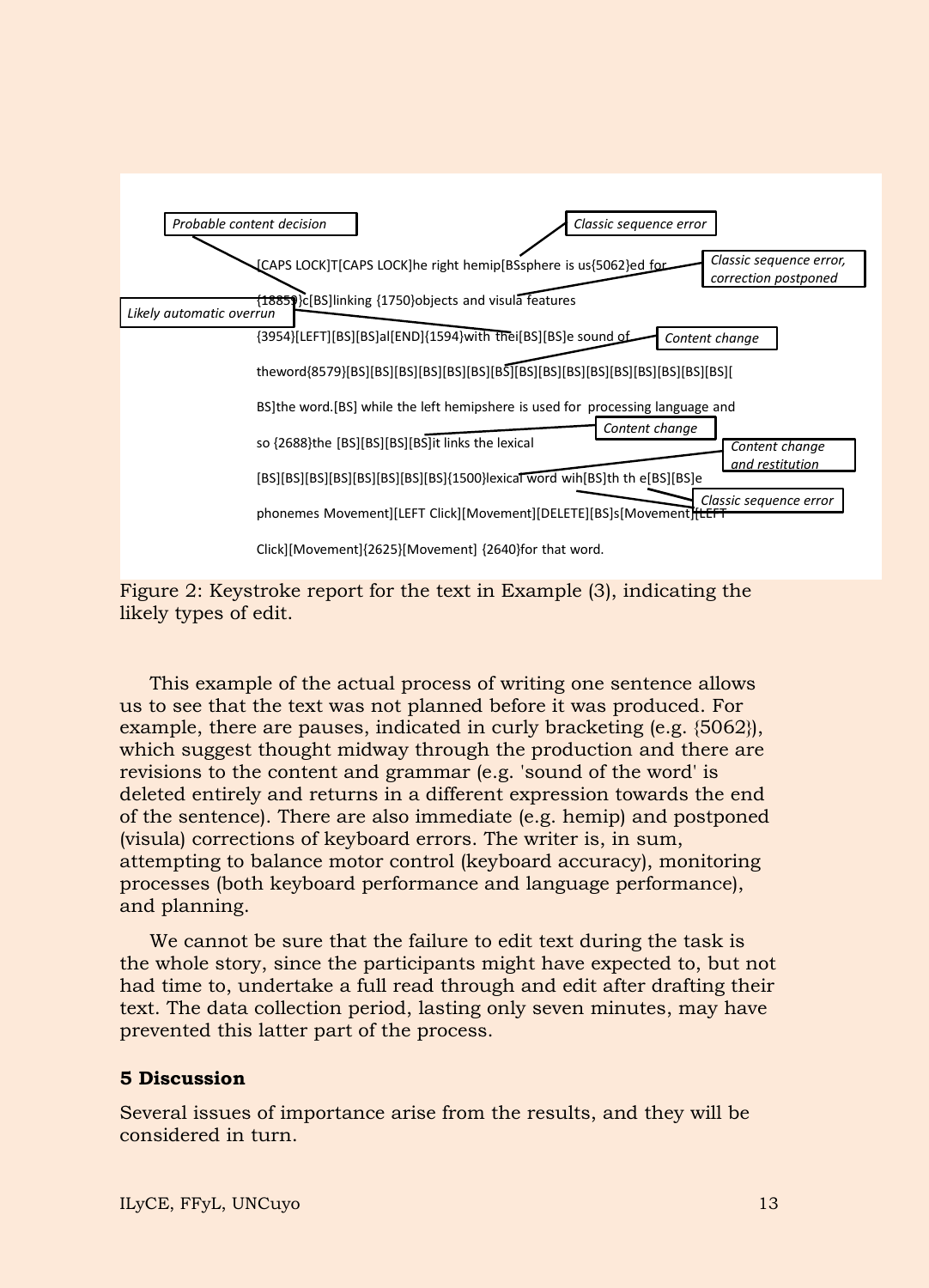

Figure 2: Keystroke report for the text in Example (3), indicating the likely types of edit.

This example of the actual process of writing one sentence allows us to see that the text was not planned before it was produced. For example, there are pauses, indicated in curly bracketing (e.g. {5062}), which suggest thought midway through the production and there are revisions to the content and grammar (e.g. 'sound of the word' is deleted entirely and returns in a different expression towards the end of the sentence). There are also immediate (e.g. hemip) and postponed (visula) corrections of keyboard errors. The writer is, in sum, attempting to balance motor control (keyboard accuracy), monitoring processes (both keyboard performance and language performance), and planning.

We cannot be sure that the failure to edit text during the task is the whole story, since the participants might have expected to, but not had time to, undertake a full read through and edit after drafting their text. The data collection period, lasting only seven minutes, may have prevented this latter part of the process.

#### **5 Discussion**

Several issues of importance arise from the results, and they will be considered in turn.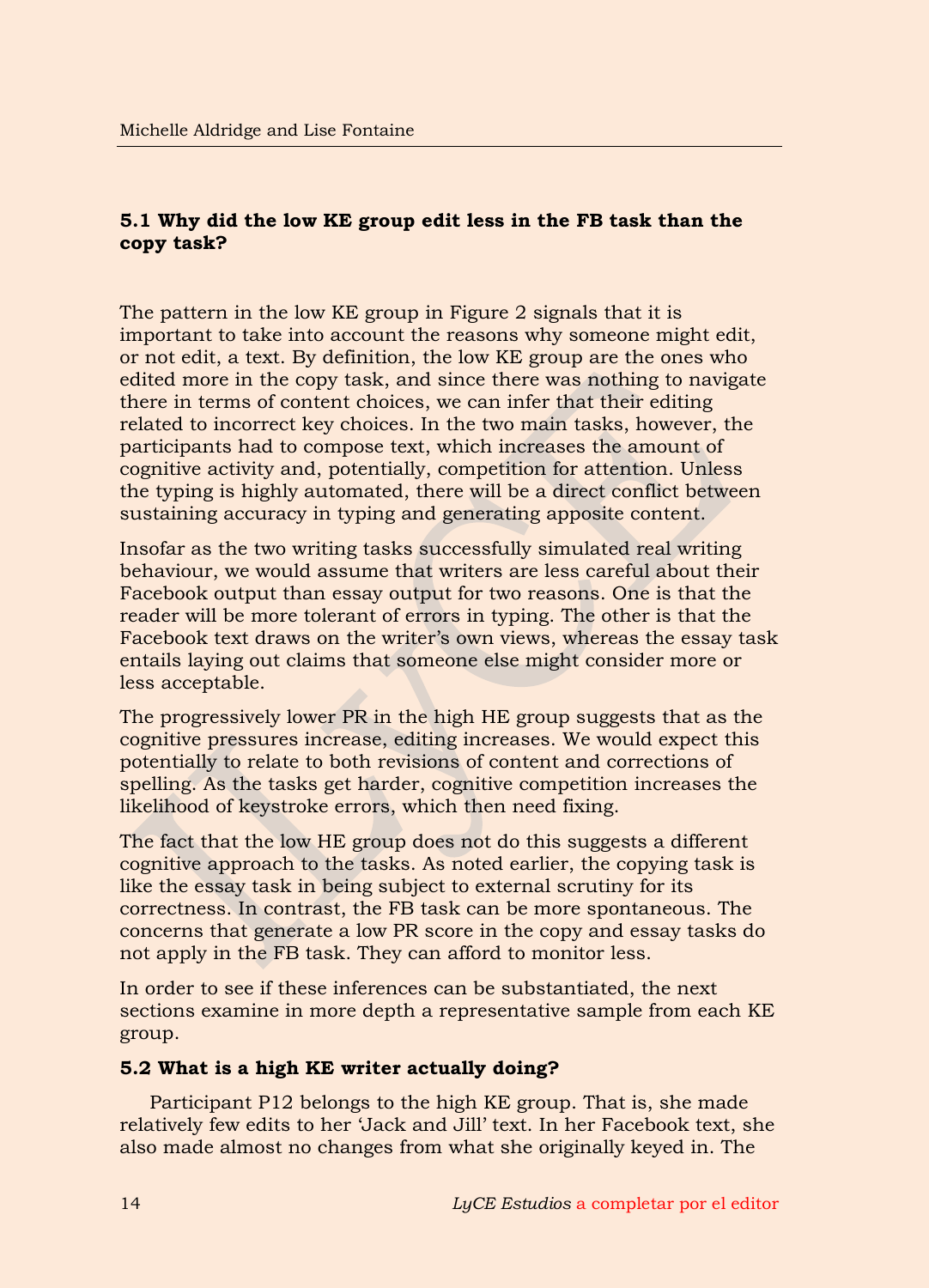# **5.1 Why did the low KE group edit less in the FB task than the copy task?**

The pattern in the low KE group in Figure 2 signals that it is important to take into account the reasons why someone might edit, or not edit, a text. By definition, the low KE group are the ones who edited more in the copy task, and since there was nothing to navigate there in terms of content choices, we can infer that their editing related to incorrect key choices. In the two main tasks, however, the participants had to compose text, which increases the amount of cognitive activity and, potentially, competition for attention. Unless the typing is highly automated, there will be a direct conflict between sustaining accuracy in typing and generating apposite content.

Insofar as the two writing tasks successfully simulated real writing behaviour, we would assume that writers are less careful about their Facebook output than essay output for two reasons. One is that the reader will be more tolerant of errors in typing. The other is that the Facebook text draws on the writer's own views, whereas the essay task entails laying out claims that someone else might consider more or less acceptable.

The progressively lower PR in the high HE group suggests that as the cognitive pressures increase, editing increases. We would expect this potentially to relate to both revisions of content and corrections of spelling. As the tasks get harder, cognitive competition increases the likelihood of keystroke errors, which then need fixing.

The fact that the low HE group does not do this suggests a different cognitive approach to the tasks. As noted earlier, the copying task is like the essay task in being subject to external scrutiny for its correctness. In contrast, the FB task can be more spontaneous. The concerns that generate a low PR score in the copy and essay tasks do not apply in the FB task. They can afford to monitor less.

In order to see if these inferences can be substantiated, the next sections examine in more depth a representative sample from each KE group.

# **5.2 What is a high KE writer actually doing?**

Participant P12 belongs to the high KE group. That is, she made relatively few edits to her 'Jack and Jill' text. In her Facebook text, she also made almost no changes from what she originally keyed in. The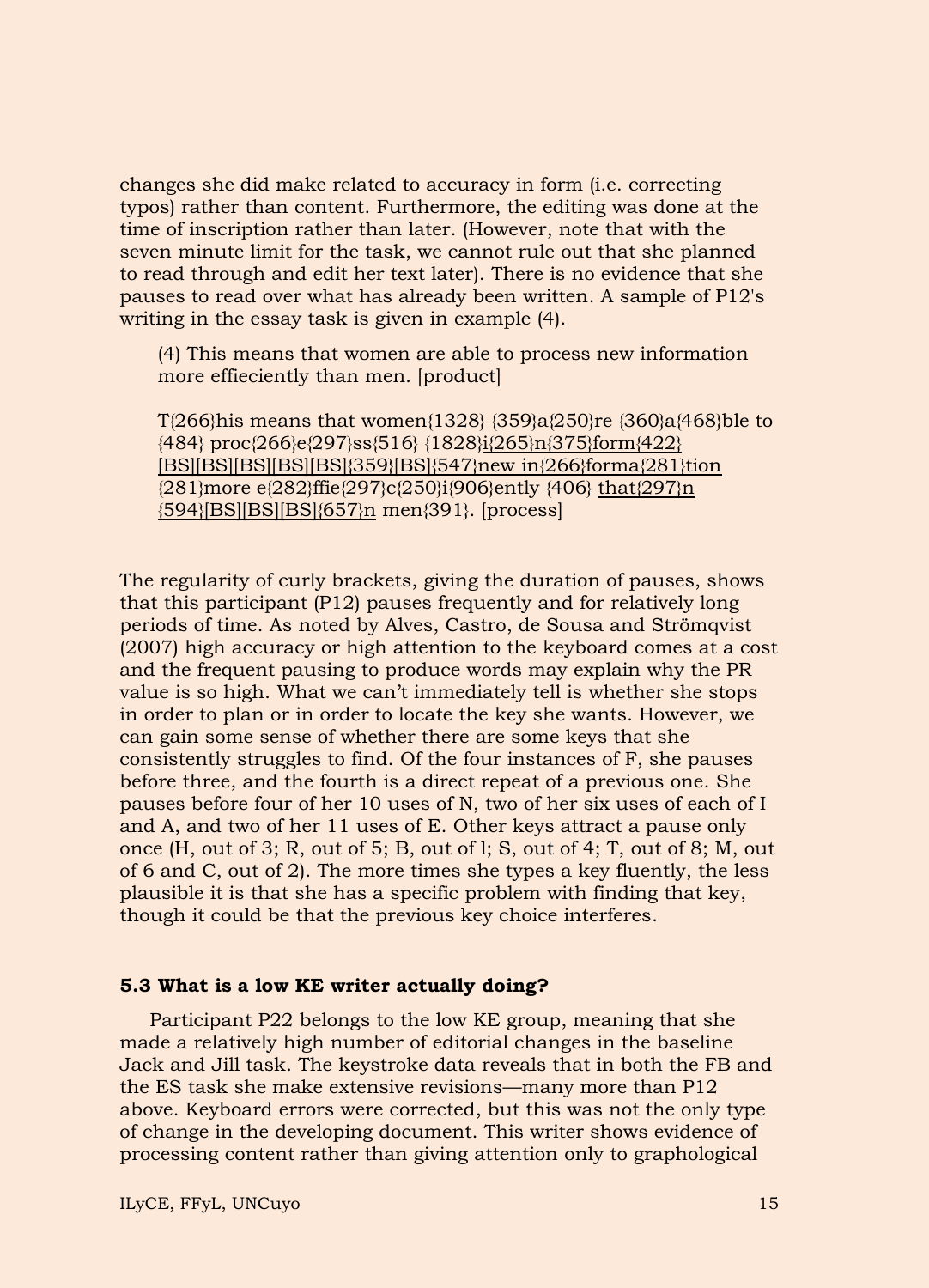changes she did make related to accuracy in form (i.e. correcting typos) rather than content. Furthermore, the editing was done at the time of inscription rather than later. (However, note that with the seven minute limit for the task, we cannot rule out that she planned to read through and edit her text later). There is no evidence that she pauses to read over what has already been written. A sample of P12's writing in the essay task is given in example (4).

(4) This means that women are able to process new information more effieciently than men. [product]

T{266}his means that women{1328} {359}a{250}re {360}a{468}ble to {484} proc{266}e{297}ss{516} {1828}i{265}n{375}form{422} [BS][BS][BS][BS][BS]{359}[BS]{547}new in{266}forma{281}tion {281}more e{282}ffie{297}c{250}i{906}ently {406} that{297}n {594}[BS][BS][BS]{657}n men{391}. [process]

The regularity of curly brackets, giving the duration of pauses, shows that this participant (P12) pauses frequently and for relatively long periods of time. As noted by Alves, Castro, de Sousa and Strömqvist (2007) high accuracy or high attention to the keyboard comes at a cost and the frequent pausing to produce words may explain why the PR value is so high. What we can't immediately tell is whether she stops in order to plan or in order to locate the key she wants. However, we can gain some sense of whether there are some keys that she consistently struggles to find. Of the four instances of F, she pauses before three, and the fourth is a direct repeat of a previous one. She pauses before four of her 10 uses of N, two of her six uses of each of I and A, and two of her 11 uses of E. Other keys attract a pause only once (H, out of 3; R, out of 5; B, out of l; S, out of 4; T, out of 8; M, out of 6 and C, out of 2). The more times she types a key fluently, the less plausible it is that she has a specific problem with finding that key, though it could be that the previous key choice interferes.

#### **5.3 What is a low KE writer actually doing?**

Participant P22 belongs to the low KE group, meaning that she made a relatively high number of editorial changes in the baseline Jack and Jill task. The keystroke data reveals that in both the FB and the ES task she make extensive revisions—many more than P12 above. Keyboard errors were corrected, but this was not the only type of change in the developing document. This writer shows evidence of processing content rather than giving attention only to graphological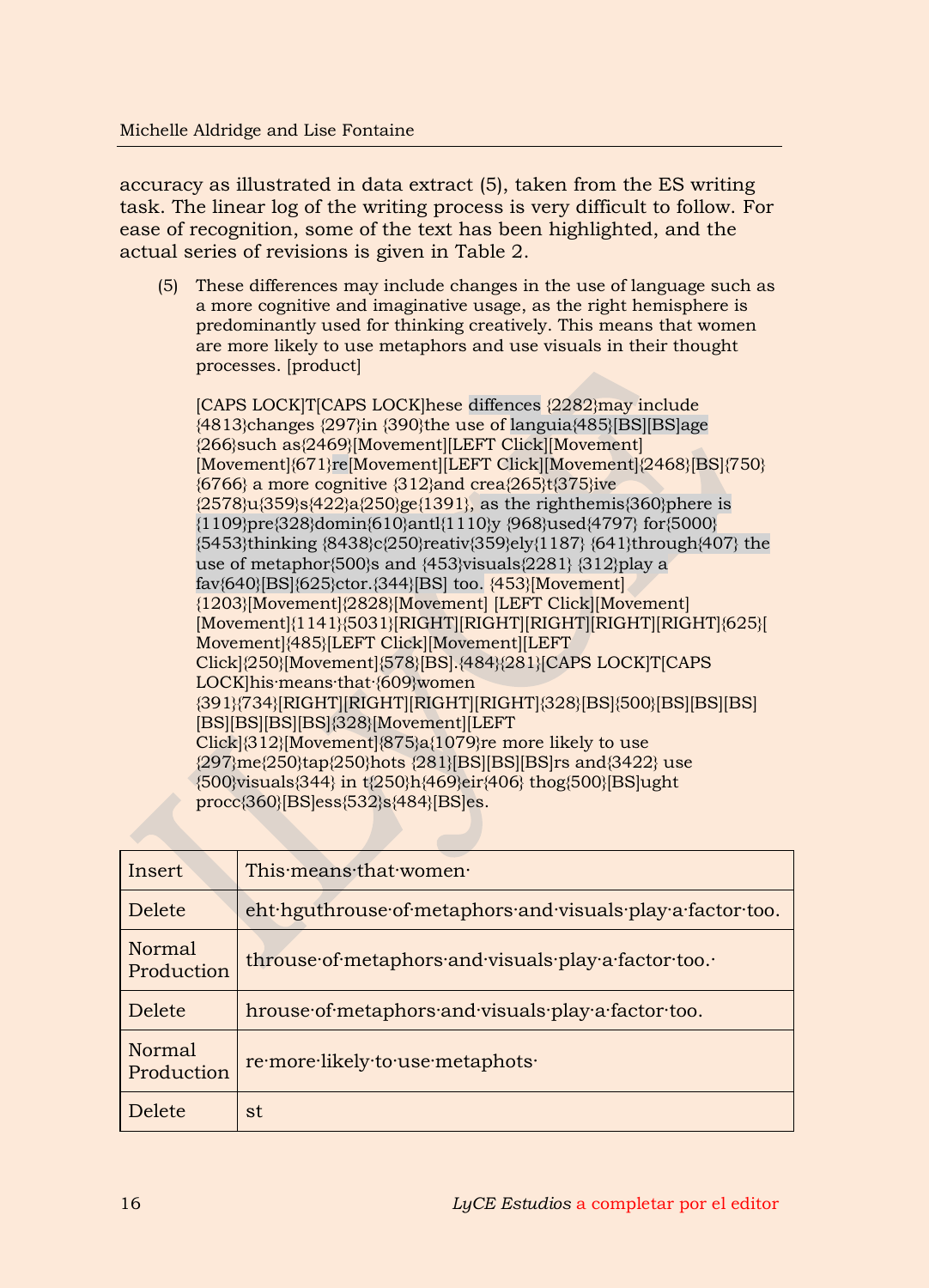accuracy as illustrated in data extract (5), taken from the ES writing task. The linear log of the writing process is very difficult to follow. For ease of recognition, some of the text has been highlighted, and the actual series of revisions is given in Table 2.

(5) These differences may include changes in the use of language such as a more cognitive and imaginative usage, as the right hemisphere is predominantly used for thinking creatively. This means that women are more likely to use metaphors and use visuals in their thought processes. [product]

[CAPS LOCK]T[CAPS LOCK]hese diffences {2282}may include {4813}changes {297}in {390}the use of languia{485}[BS][BS]age {266}such as{2469}[Movement][LEFT Click][Movement] [Movement]{671}re[Movement][LEFT Click][Movement]{2468}[BS]{750} {6766} a more cognitive {312}and crea{265}t{375}ive  $\{2578\}u\{359\}s\{422\}a\{250\}ge\{1391\}$ , as the righthemis $\{360\}$ phere is {1109}pre{328}domin{610}antl{1110}y {968}used{4797} for{5000} {5453}thinking {8438}c{250}reativ{359}ely{1187} {641}through{407} the use of metaphor{500}s and {453}visuals{2281} {312}play a fav{640}[BS]{625}ctor.{344}[BS] too. {453}[Movement] {1203}[Movement]{2828}[Movement] [LEFT Click][Movement] [Movement]{1141}{5031}[RIGHT][RIGHT][RIGHT][RIGHT][RIGHT]{625}[ Movement]{485}[LEFT Click][Movement][LEFT Click]{250}[Movement]{578}[BS].{484}{281}[CAPS LOCK]T[CAPS LOCK]his·means·that·{609}women {391}{734}[RIGHT][RIGHT][RIGHT][RIGHT]{328}[BS]{500}[BS][BS][BS] [BS][BS][BS][BS]{328}[Movement][LEFT Click]{312}[Movement]{875}a{1079}re more likely to use {297}me{250}tap{250}hots {281}[BS][BS][BS]rs and{3422} use {500}visuals{344} in t{250}h{469}eir{406} thog{500}[BS]ught procc{360}[BS]ess{532}s{484}[BS]es.

| Insert                      | This means that women                                      |
|-----------------------------|------------------------------------------------------------|
| Delete                      | eht hguthrouse of metaphors and visuals play a factor too. |
| <b>Normal</b><br>Production | throuse of metaphors and visuals play a factor too.        |
| <b>Delete</b>               | hrouse of metaphors and visuals play a factor too.         |
| Normal<br>Production        | re more likely to use metaphots                            |
| Delete                      | st                                                         |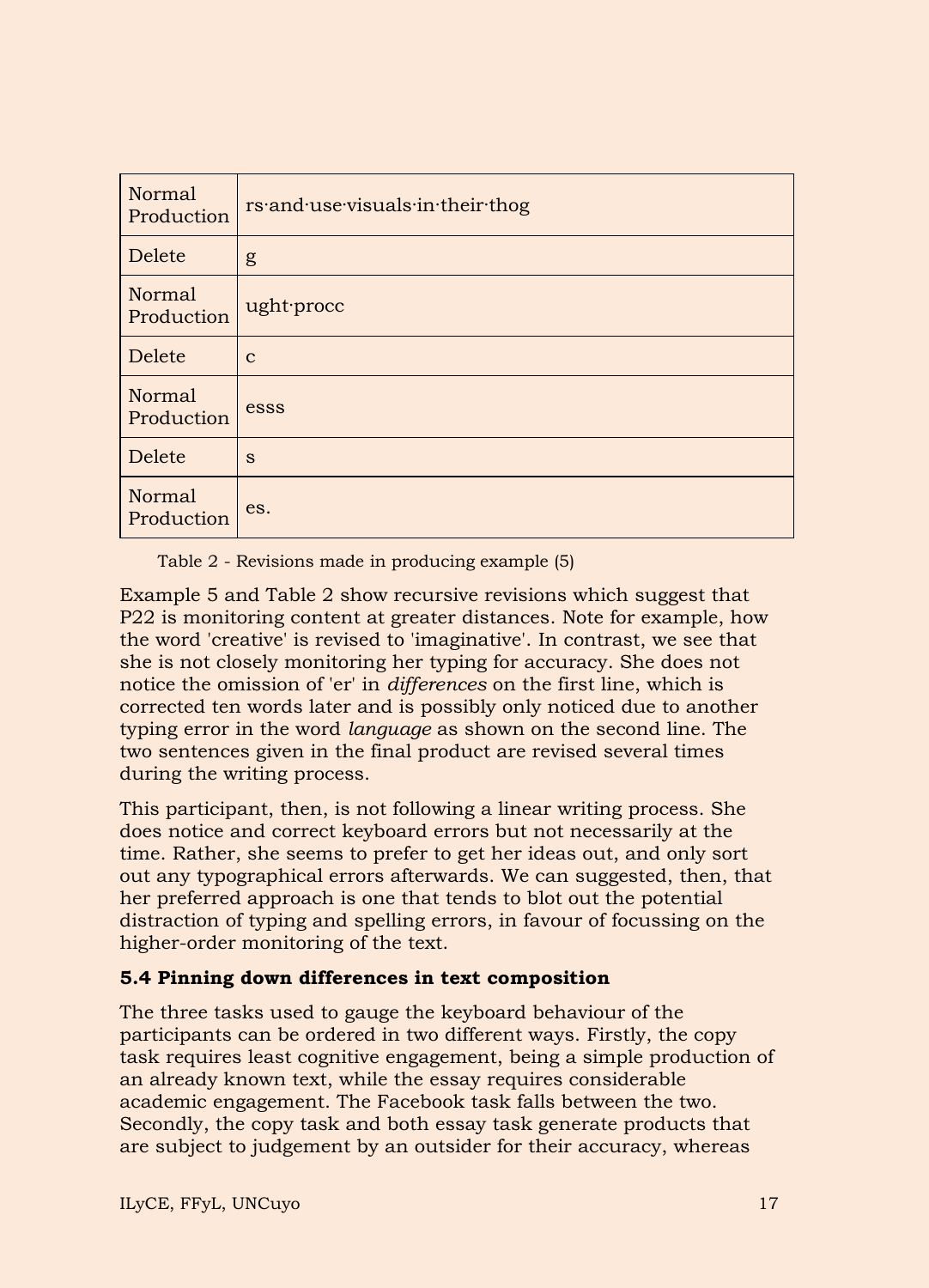| <b>Normal</b><br>Production | rs and use visuals in their thog |
|-----------------------------|----------------------------------|
| Delete                      | g                                |
| Normal<br>Production        | ught procc                       |
| Delete                      | $\mathbf{C}$                     |
| <b>Normal</b><br>Production | esss                             |
| Delete                      | S                                |
| Normal<br>Production        | es.                              |

Table 2 - Revisions made in producing example (5)

Example 5 and Table 2 show recursive revisions which suggest that P22 is monitoring content at greater distances. Note for example, how the word 'creative' is revised to 'imaginative'. In contrast, we see that she is not closely monitoring her typing for accuracy. She does not notice the omission of 'er' in *differences* on the first line, which is corrected ten words later and is possibly only noticed due to another typing error in the word *language* as shown on the second line. The two sentences given in the final product are revised several times during the writing process.

This participant, then, is not following a linear writing process. She does notice and correct keyboard errors but not necessarily at the time. Rather, she seems to prefer to get her ideas out, and only sort out any typographical errors afterwards. We can suggested, then, that her preferred approach is one that tends to blot out the potential distraction of typing and spelling errors, in favour of focussing on the higher-order monitoring of the text.

# **5.4 Pinning down differences in text composition**

The three tasks used to gauge the keyboard behaviour of the participants can be ordered in two different ways. Firstly, the copy task requires least cognitive engagement, being a simple production of an already known text, while the essay requires considerable academic engagement. The Facebook task falls between the two. Secondly, the copy task and both essay task generate products that are subject to judgement by an outsider for their accuracy, whereas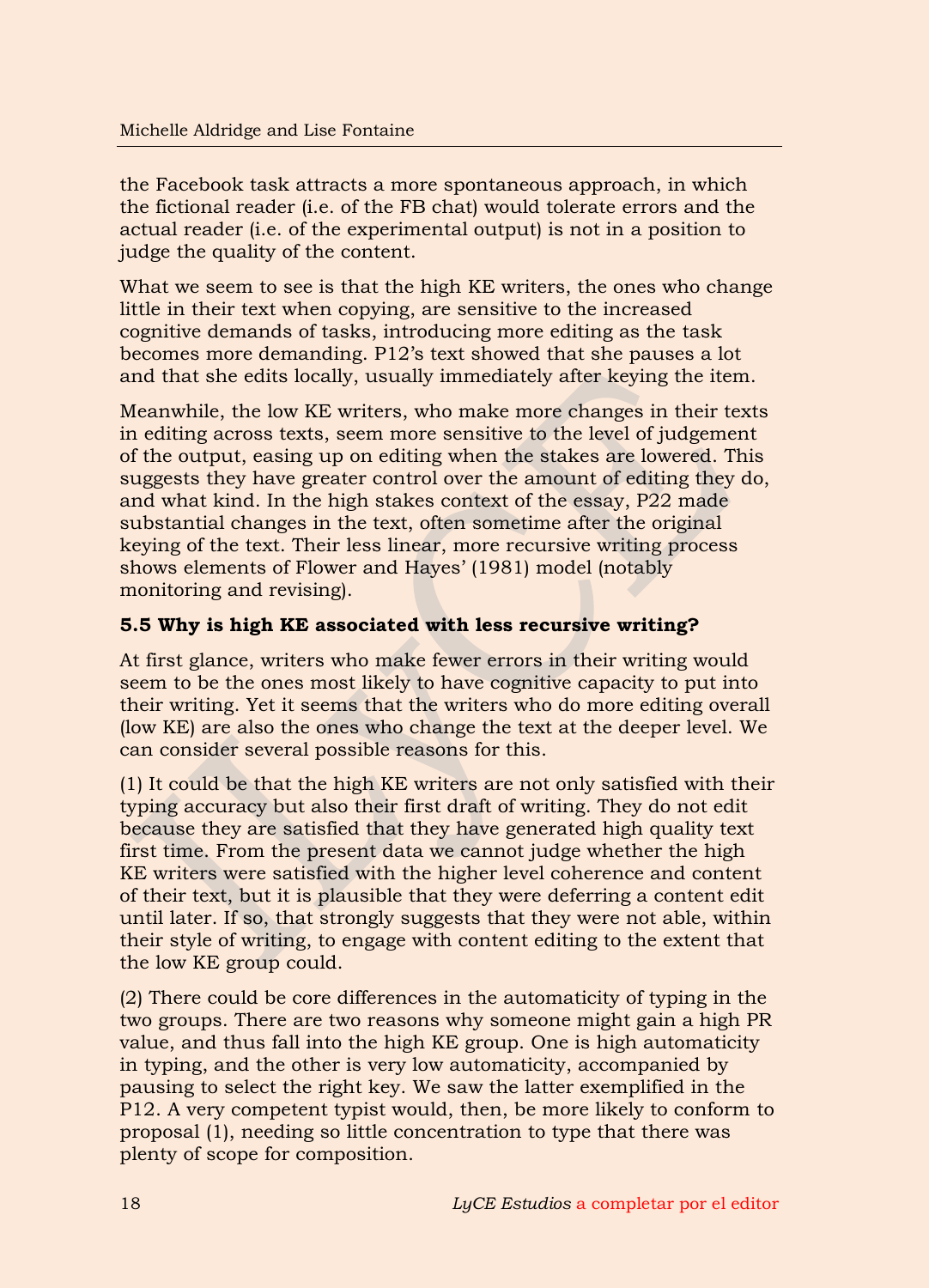the Facebook task attracts a more spontaneous approach, in which the fictional reader (i.e. of the FB chat) would tolerate errors and the actual reader (i.e. of the experimental output) is not in a position to judge the quality of the content.

What we seem to see is that the high KE writers, the ones who change little in their text when copying, are sensitive to the increased cognitive demands of tasks, introducing more editing as the task becomes more demanding. P12's text showed that she pauses a lot and that she edits locally, usually immediately after keying the item.

Meanwhile, the low KE writers, who make more changes in their texts in editing across texts, seem more sensitive to the level of judgement of the output, easing up on editing when the stakes are lowered. This suggests they have greater control over the amount of editing they do, and what kind. In the high stakes context of the essay, P22 made substantial changes in the text, often sometime after the original keying of the text. Their less linear, more recursive writing process shows elements of Flower and Hayes' (1981) model (notably monitoring and revising).

# **5.5 Why is high KE associated with less recursive writing?**

At first glance, writers who make fewer errors in their writing would seem to be the ones most likely to have cognitive capacity to put into their writing. Yet it seems that the writers who do more editing overall (low KE) are also the ones who change the text at the deeper level. We can consider several possible reasons for this.

(1) It could be that the high KE writers are not only satisfied with their typing accuracy but also their first draft of writing. They do not edit because they are satisfied that they have generated high quality text first time. From the present data we cannot judge whether the high KE writers were satisfied with the higher level coherence and content of their text, but it is plausible that they were deferring a content edit until later. If so, that strongly suggests that they were not able, within their style of writing, to engage with content editing to the extent that the low KE group could.

(2) There could be core differences in the automaticity of typing in the two groups. There are two reasons why someone might gain a high PR value, and thus fall into the high KE group. One is high automaticity in typing, and the other is very low automaticity, accompanied by pausing to select the right key. We saw the latter exemplified in the P12. A very competent typist would, then, be more likely to conform to proposal (1), needing so little concentration to type that there was plenty of scope for composition.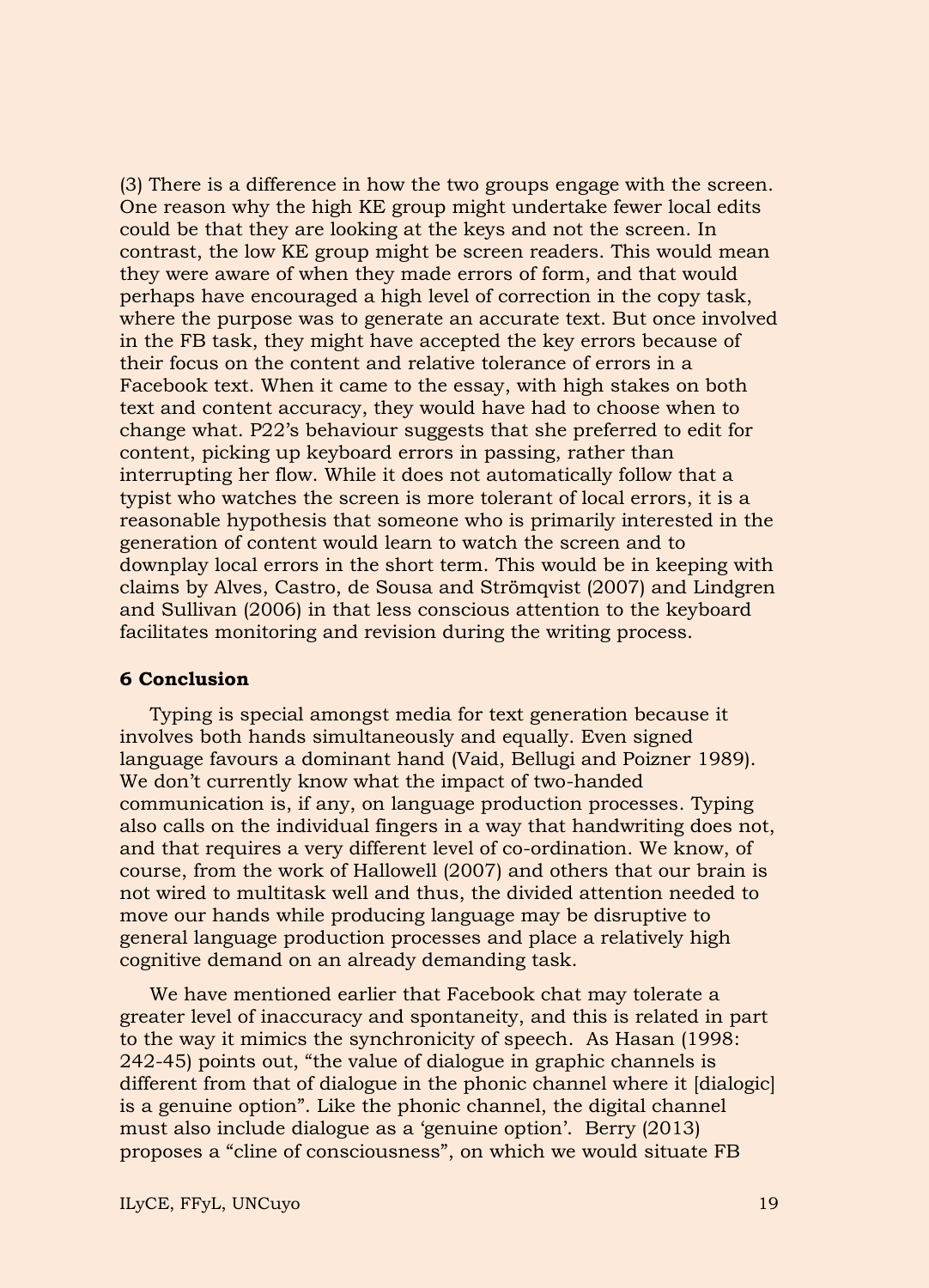(3) There is a difference in how the two groups engage with the screen. One reason why the high KE group might undertake fewer local edits could be that they are looking at the keys and not the screen. In contrast, the low KE group might be screen readers. This would mean they were aware of when they made errors of form, and that would perhaps have encouraged a high level of correction in the copy task, where the purpose was to generate an accurate text. But once involved in the FB task, they might have accepted the key errors because of their focus on the content and relative tolerance of errors in a Facebook text. When it came to the essay, with high stakes on both text and content accuracy, they would have had to choose when to change what. P22's behaviour suggests that she preferred to edit for content, picking up keyboard errors in passing, rather than interrupting her flow. While it does not automatically follow that a typist who watches the screen is more tolerant of local errors, it is a reasonable hypothesis that someone who is primarily interested in the generation of content would learn to watch the screen and to downplay local errors in the short term. This would be in keeping with claims by Alves, Castro, de Sousa and Strömqvist (2007) and Lindgren and Sullivan (2006) in that less conscious attention to the keyboard facilitates monitoring and revision during the writing process.

#### **6 Conclusion**

Typing is special amongst media for text generation because it involves both hands simultaneously and equally. Even signed language favours a dominant hand (Vaid, Bellugi and Poizner 1989). We don't currently know what the impact of two-handed communication is, if any, on language production processes. Typing also calls on the individual fingers in a way that handwriting does not, and that requires a very different level of co-ordination. We know, of course, from the work of Hallowell (2007) and others that our brain is not wired to multitask well and thus, the divided attention needed to move our hands while producing language may be disruptive to general language production processes and place a relatively high cognitive demand on an already demanding task.

We have mentioned earlier that Facebook chat may tolerate a greater level of inaccuracy and spontaneity, and this is related in part to the way it mimics the synchronicity of speech. As Hasan (1998: 242-45) points out, "the value of dialogue in graphic channels is different from that of dialogue in the phonic channel where it [dialogic] is a genuine option". Like the phonic channel, the digital channel must also include dialogue as a 'genuine option'. Berry (2013) proposes a "cline of consciousness", on which we would situate FB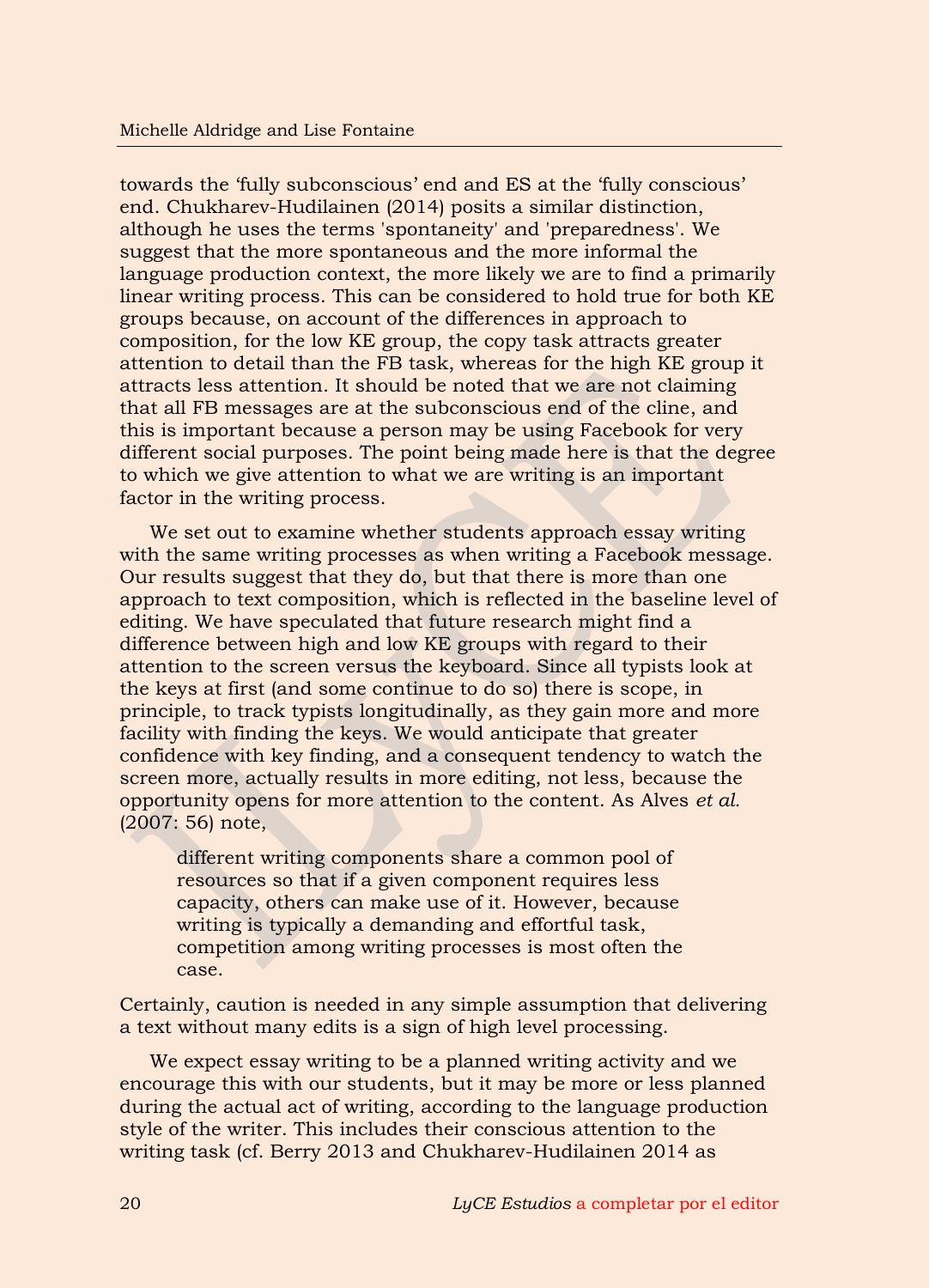towards the 'fully subconscious' end and ES at the 'fully conscious' end. Chukharev-Hudilainen (2014) posits a similar distinction, although he uses the terms 'spontaneity' and 'preparedness'. We suggest that the more spontaneous and the more informal the language production context, the more likely we are to find a primarily linear writing process. This can be considered to hold true for both KE groups because, on account of the differences in approach to composition, for the low KE group, the copy task attracts greater attention to detail than the FB task, whereas for the high KE group it attracts less attention. It should be noted that we are not claiming that all FB messages are at the subconscious end of the cline, and this is important because a person may be using Facebook for very different social purposes. The point being made here is that the degree to which we give attention to what we are writing is an important factor in the writing process.

We set out to examine whether students approach essay writing with the same writing processes as when writing a Facebook message. Our results suggest that they do, but that there is more than one approach to text composition, which is reflected in the baseline level of editing. We have speculated that future research might find a difference between high and low KE groups with regard to their attention to the screen versus the keyboard. Since all typists look at the keys at first (and some continue to do so) there is scope, in principle, to track typists longitudinally, as they gain more and more facility with finding the keys. We would anticipate that greater confidence with key finding, and a consequent tendency to watch the screen more, actually results in more editing, not less, because the opportunity opens for more attention to the content. As Alves *et al.* (2007: 56) note,

different writing components share a common pool of resources so that if a given component requires less capacity, others can make use of it. However, because writing is typically a demanding and effortful task, competition among writing processes is most often the case.

Certainly, caution is needed in any simple assumption that delivering a text without many edits is a sign of high level processing.

We expect essay writing to be a planned writing activity and we encourage this with our students, but it may be more or less planned during the actual act of writing, according to the language production style of the writer. This includes their conscious attention to the writing task (cf. Berry 2013 and Chukharev-Hudilainen 2014 as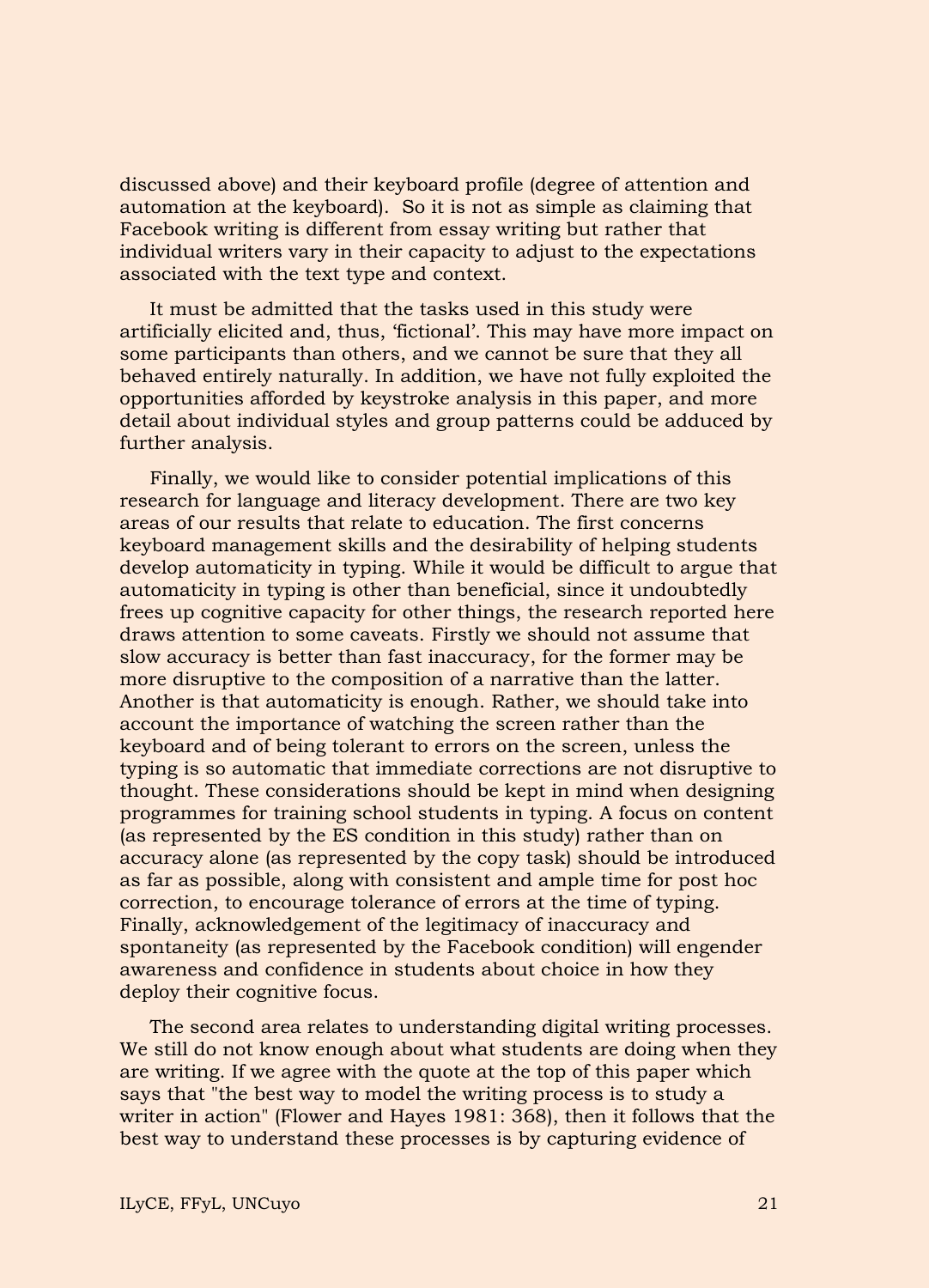discussed above) and their keyboard profile (degree of attention and automation at the keyboard). So it is not as simple as claiming that Facebook writing is different from essay writing but rather that individual writers vary in their capacity to adjust to the expectations associated with the text type and context.

It must be admitted that the tasks used in this study were artificially elicited and, thus, 'fictional'. This may have more impact on some participants than others, and we cannot be sure that they all behaved entirely naturally. In addition, we have not fully exploited the opportunities afforded by keystroke analysis in this paper, and more detail about individual styles and group patterns could be adduced by further analysis.

Finally, we would like to consider potential implications of this research for language and literacy development. There are two key areas of our results that relate to education. The first concerns keyboard management skills and the desirability of helping students develop automaticity in typing. While it would be difficult to argue that automaticity in typing is other than beneficial, since it undoubtedly frees up cognitive capacity for other things, the research reported here draws attention to some caveats. Firstly we should not assume that slow accuracy is better than fast inaccuracy, for the former may be more disruptive to the composition of a narrative than the latter. Another is that automaticity is enough. Rather, we should take into account the importance of watching the screen rather than the keyboard and of being tolerant to errors on the screen, unless the typing is so automatic that immediate corrections are not disruptive to thought. These considerations should be kept in mind when designing programmes for training school students in typing. A focus on content (as represented by the ES condition in this study) rather than on accuracy alone (as represented by the copy task) should be introduced as far as possible, along with consistent and ample time for post hoc correction, to encourage tolerance of errors at the time of typing. Finally, acknowledgement of the legitimacy of inaccuracy and spontaneity (as represented by the Facebook condition) will engender awareness and confidence in students about choice in how they deploy their cognitive focus.

The second area relates to understanding digital writing processes. We still do not know enough about what students are doing when they are writing. If we agree with the quote at the top of this paper which says that "the best way to model the writing process is to study a writer in action" (Flower and Hayes 1981: 368), then it follows that the best way to understand these processes is by capturing evidence of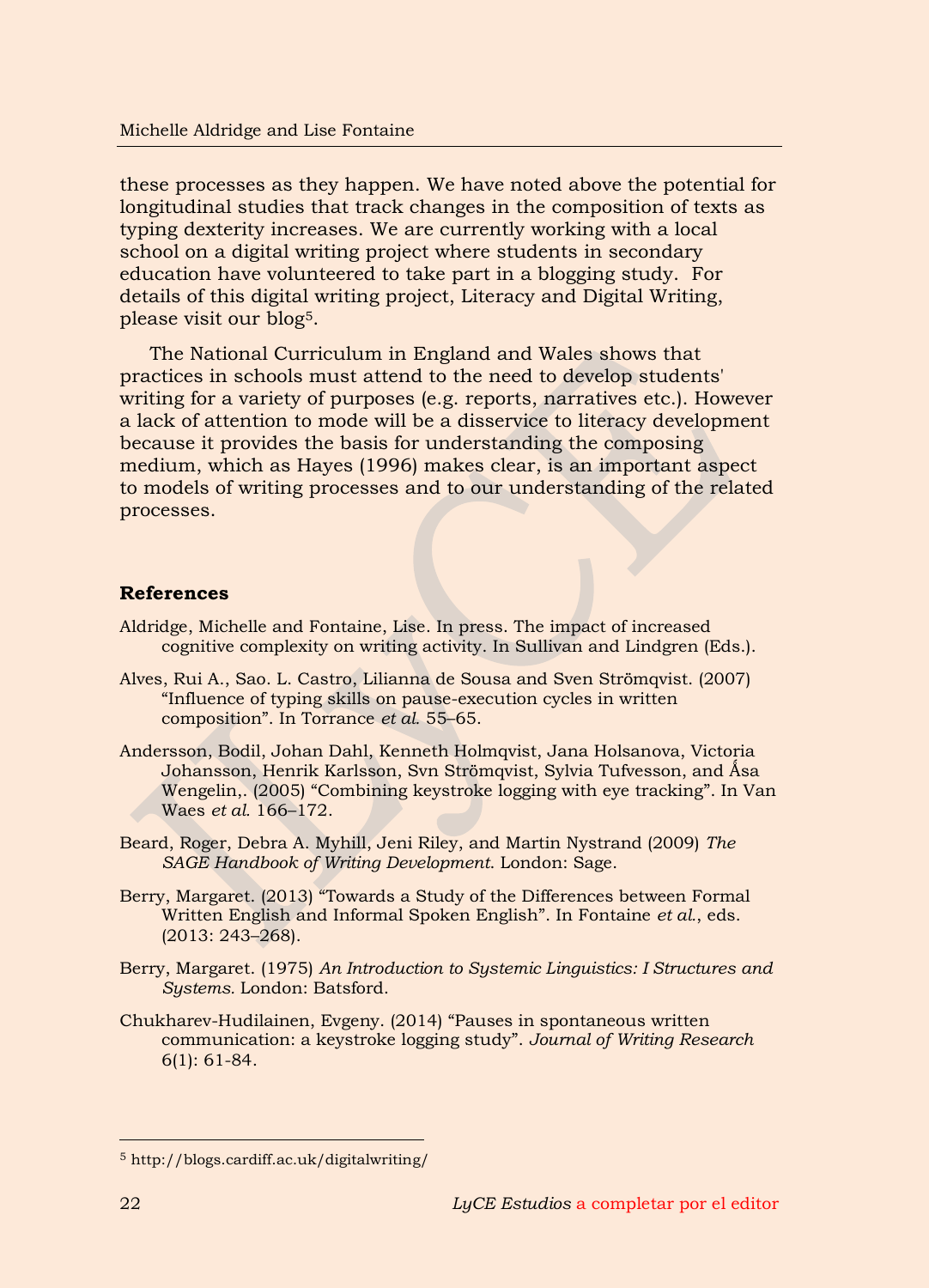these processes as they happen. We have noted above the potential for longitudinal studies that track changes in the composition of texts as typing dexterity increases. We are currently working with a local school on a digital writing project where students in secondary education have volunteered to take part in a blogging study. For details of this digital writing project, Literacy and Digital Writing, please visit our blog5.

The National Curriculum in England and Wales shows that practices in schools must attend to the need to develop students' writing for a variety of purposes (e.g. reports, narratives etc.). However a lack of attention to mode will be a disservice to literacy development because it provides the basis for understanding the composing medium, which as Hayes (1996) makes clear, is an important aspect to models of writing processes and to our understanding of the related processes.

# **References**

- Aldridge, Michelle and Fontaine, Lise. In press. The impact of increased cognitive complexity on writing activity. In Sullivan and Lindgren (Eds.).
- Alves, Rui A., Sao. L. Castro, Lilianna de Sousa and Sven Strömqvist. (2007) "Influence of typing skills on pause-execution cycles in written composition". In Torrance *et al.* 55–65.
- Andersson, Bodil, Johan Dahl, Kenneth Holmqvist, Jana Holsanova, Victoria Johansson, Henrik Karlsson, Svn Strömqvist, Sylvia Tufvesson, and Åsa Wengelin,. (2005) "Combining keystroke logging with eye tracking". In Van Waes *et al.* 166–172.
- Beard, Roger, Debra A. Myhill, Jeni Riley, and Martin Nystrand (2009) *The SAGE Handbook of Writing Development*. London: Sage.
- Berry, Margaret. (2013) "Towards a Study of the Differences between Formal Written English and Informal Spoken English". In Fontaine *et al.*, eds. (2013: 243–268).
- Berry, Margaret. (1975) *An Introduction to Systemic Linguistics: I Structures and Systems.* London: Batsford.
- Chukharev-Hudilainen, Evgeny. (2014) "Pauses in spontaneous written communication: a keystroke logging study". *Journal of Writing Research* 6(1): 61-84.

-

<sup>5</sup> http://blogs.cardiff.ac.uk/digitalwriting/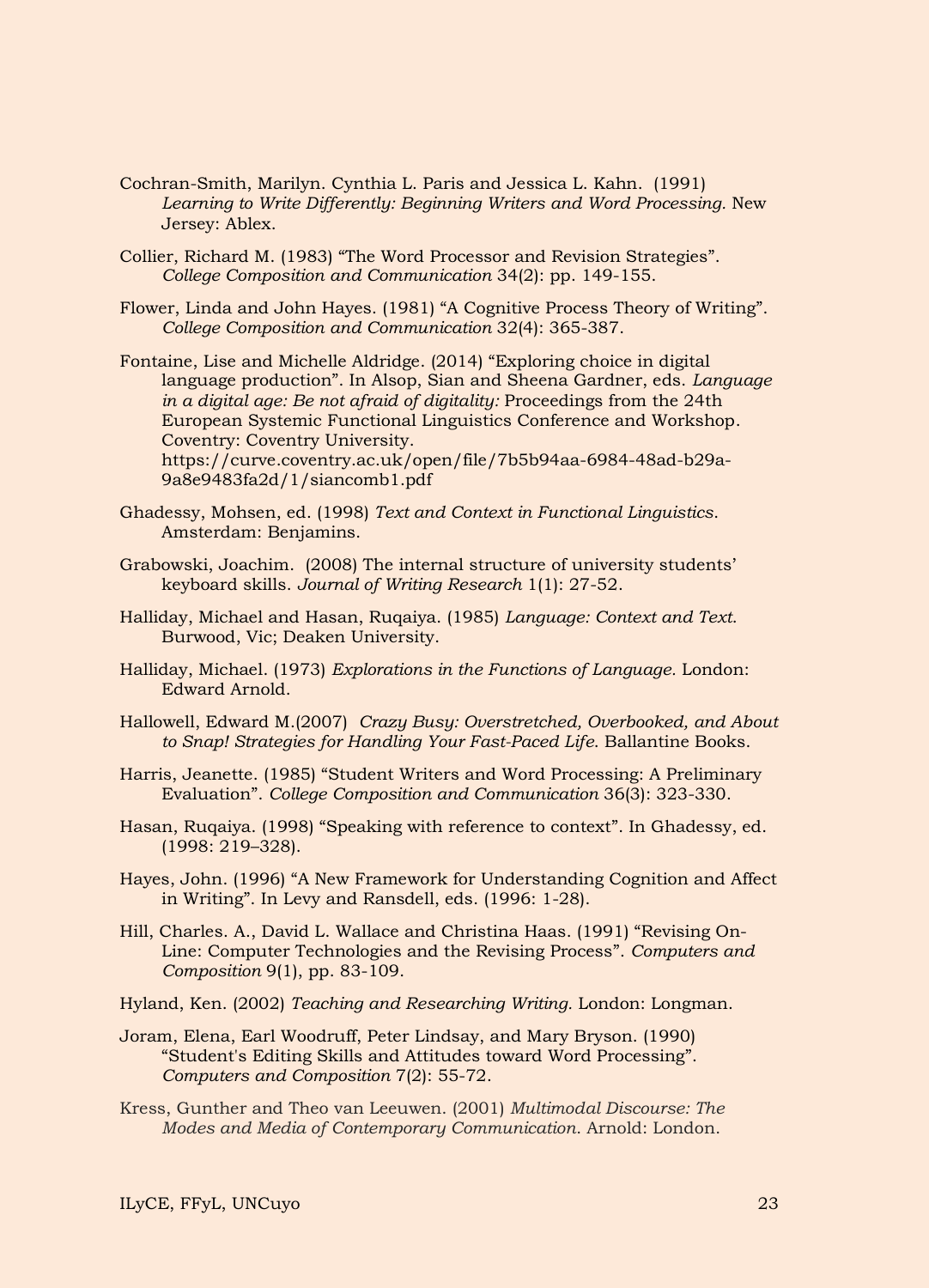- Cochran-Smith, Marilyn. Cynthia L. Paris and Jessica L. Kahn. (1991) Learning to Write Differently: Beginning Writers and Word Processing. New Jersey: Ablex.
- Collier, Richard M. (1983) "The Word Processor and Revision Strategies". *College Composition and Communication* 34(2): pp. 149-155.
- Flower, Linda and John Hayes. (1981) "A Cognitive Process Theory of Writing". *College Composition and Communication* 32(4): 365-387.
- Fontaine, Lise and Michelle Aldridge. (2014) "Exploring choice in digital language production". In Alsop, Sian and Sheena Gardner, eds. *Language in a digital age: Be not afraid of digitality:* Proceedings from the 24th European Systemic Functional Linguistics Conference and Workshop. Coventry: Coventry University. https://curve.coventry.ac.uk/open/file/7b5b94aa-6984-48ad-b29a-
- Ghadessy, Mohsen, ed. (1998) *Text and Context in Functional Linguistics*. Amsterdam: Benjamins.

9a8e9483fa2d/1/siancomb1.pdf

- Grabowski, Joachim. (2008) The internal structure of university students' keyboard skills. *Journal of Writing Research* 1(1): 27-52.
- Halliday, Michael and Hasan, Ruqaiya. (1985) *Language: Context and Text*. Burwood, Vic; Deaken University.
- Halliday, Michael. (1973) *Explorations in the Functions of Language.* London: Edward Arnold.
- Hallowell, Edward M.(2007) *Crazy Busy: Overstretched, Overbooked, and About to Snap! Strategies for Handling Your Fast-Paced Life*. Ballantine Books.
- Harris, Jeanette. (1985) "Student Writers and Word Processing: A Preliminary Evaluation". *College Composition and Communication* 36(3): 323-330.
- Hasan, Ruqaiya. (1998) "Speaking with reference to context". In Ghadessy, ed. (1998: 219–328).
- Hayes, John. (1996) "A New Framework for Understanding Cognition and Affect in Writing". In Levy and Ransdell, eds. (1996: 1-28).
- Hill, Charles. A., David L. Wallace and Christina Haas. (1991) "Revising On-Line: Computer Technologies and the Revising Process". *Computers and Composition* 9(1), pp. 83-109.
- Hyland, Ken. (2002) *Teaching and Researching Writing.* London: Longman.
- Joram, Elena, Earl Woodruff, Peter Lindsay, and Mary Bryson. (1990) "Student's Editing Skills and Attitudes toward Word Processing". *Computers and Composition* 7(2): 55-72.
- Kress, Gunther and Theo van Leeuwen. (2001) *Multimodal Discourse: The Modes and Media of Contemporary Communication*. Arnold: London.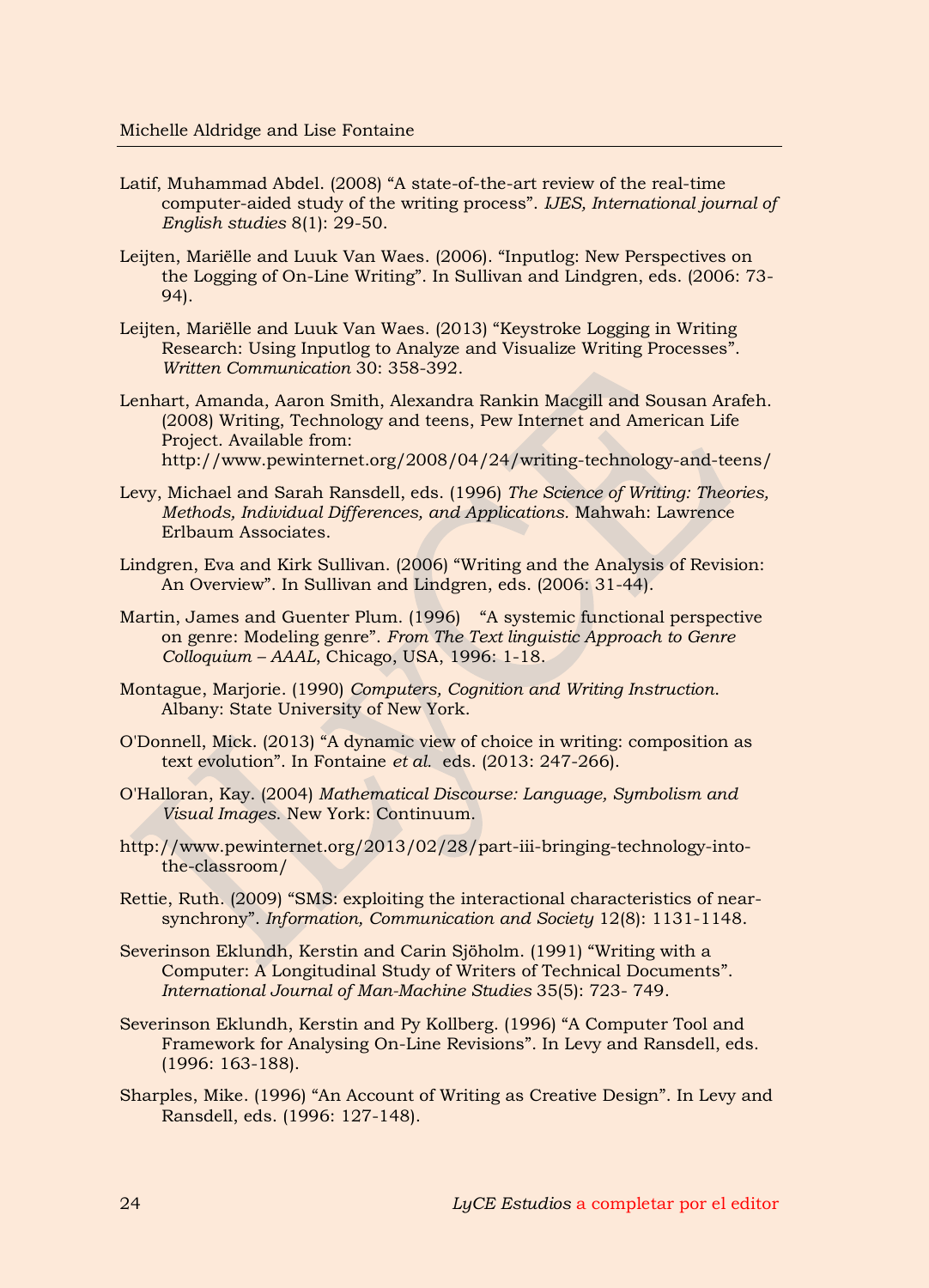- Latif, Muhammad Abdel. (2008) "A state-of-the-art review of the real-time computer-aided study of the writing process". *IJES, International journal of English studies* 8(1): 29-50.
- Leijten, Mariëlle and Luuk Van Waes. (2006). "Inputlog: New Perspectives on the Logging of On-Line Writing". In Sullivan and Lindgren, eds. (2006: 73- 94).
- Leijten, Mariëlle and Luuk Van Waes. (2013) "Keystroke Logging in Writing Research: Using Inputlog to Analyze and Visualize Writing Processes". *Written Communication* 30: 358-392.
- Lenhart, Amanda, Aaron Smith, Alexandra Rankin Macgill and Sousan Arafeh. (2008) Writing, Technology and teens, Pew Internet and American Life Project. Available from: http://www.pewinternet.org/2008/04/24/writing-technology-and-teens/
- Levy, Michael and Sarah Ransdell, eds. (1996) *The Science of Writing: Theories, Methods, Individual Differences, and Applications.* Mahwah: Lawrence Erlbaum Associates.
- Lindgren, Eva and Kirk Sullivan. (2006) "Writing and the Analysis of Revision: An Overview". In Sullivan and Lindgren, eds. (2006: 31-44).
- Martin, James and Guenter Plum. (1996) "A systemic functional perspective on genre: Modeling genre". *From The Text linguistic Approach to Genre Colloquium – AAAL*, Chicago, USA, 1996: 1-18.
- Montague, Marjorie. (1990) *Computers, Cognition and Writing Instruction*. Albany: State University of New York.
- O'Donnell, Mick. (2013) "A dynamic view of choice in writing: composition as text evolution". In Fontaine *et al.* eds. (2013: 247-266).
- O'Halloran, Kay. (2004) *Mathematical Discourse: Language, Symbolism and Visual Images*. New York: Continuum.
- http://www.pewinternet.org/2013/02/28/part-iii-bringing-technology-intothe-classroom/
- Rettie, Ruth. (2009) "SMS: exploiting the interactional characteristics of nearsynchrony". *Information, Communication and Society* 12(8): 1131-1148.
- Severinson Eklundh, Kerstin and Carin Sjöholm. (1991) "Writing with a Computer: A Longitudinal Study of Writers of Technical Documents". *International Journal of Man-Machine Studies* 35(5): 723- 749.
- Severinson Eklundh, Kerstin and Py Kollberg. (1996) "A Computer Tool and Framework for Analysing On-Line Revisions". In Levy and Ransdell, eds. (1996: 163-188).
- Sharples, Mike. (1996) "An Account of Writing as Creative Design". In Levy and Ransdell, eds. (1996: 127-148).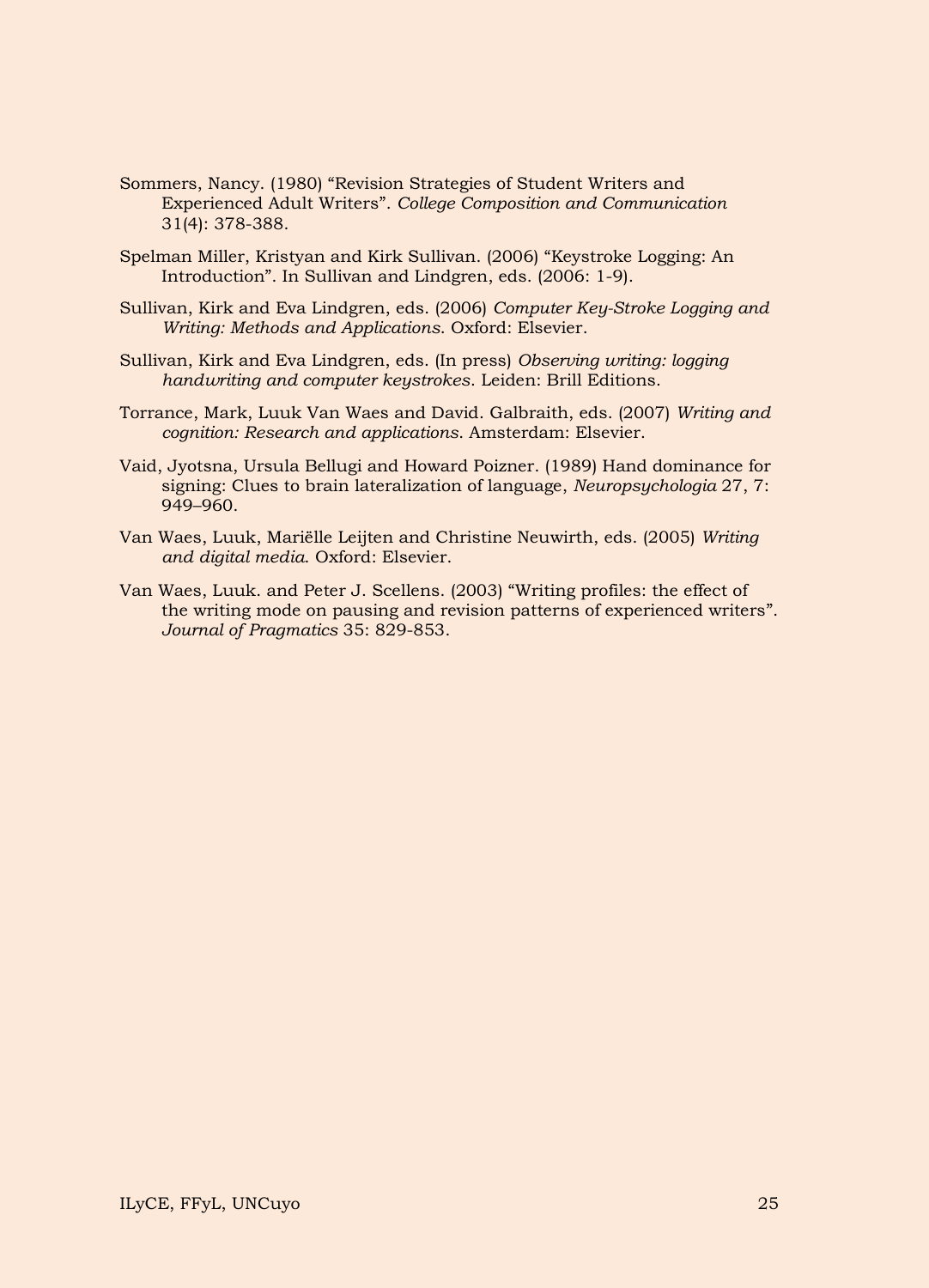- Sommers, Nancy. (1980) "Revision Strategies of Student Writers and Experienced Adult Writers". *College Composition and Communication* 31(4): 378-388.
- Spelman Miller, Kristyan and Kirk Sullivan. (2006) "Keystroke Logging: An Introduction". In Sullivan and Lindgren, eds. (2006: 1-9).
- Sullivan, Kirk and Eva Lindgren, eds. (2006) *Computer Key-Stroke Logging and Writing: Methods and Applications*. Oxford: Elsevier.
- Sullivan, Kirk and Eva Lindgren, eds. (In press) *Observing writing: logging handwriting and computer keystrokes*. Leiden: Brill Editions.
- Torrance, Mark, Luuk Van Waes and David. Galbraith, eds. (2007) *Writing and cognition: Research and applications*. Amsterdam: Elsevier.
- Vaid, Jyotsna, Ursula Bellugi and Howard Poizner. (1989) Hand dominance for signing: Clues to brain lateralization of language, *Neuropsychologia* 27, 7: 949–960.
- Van Waes, Luuk, Mariëlle Leijten and Christine Neuwirth, eds. (2005) *Writing and digital media*. Oxford: Elsevier.
- Van Waes, Luuk. and Peter J. Scellens. (2003) "Writing profiles: the effect of the writing mode on pausing and revision patterns of experienced writers". *Journal of Pragmatics* 35: 829-853.